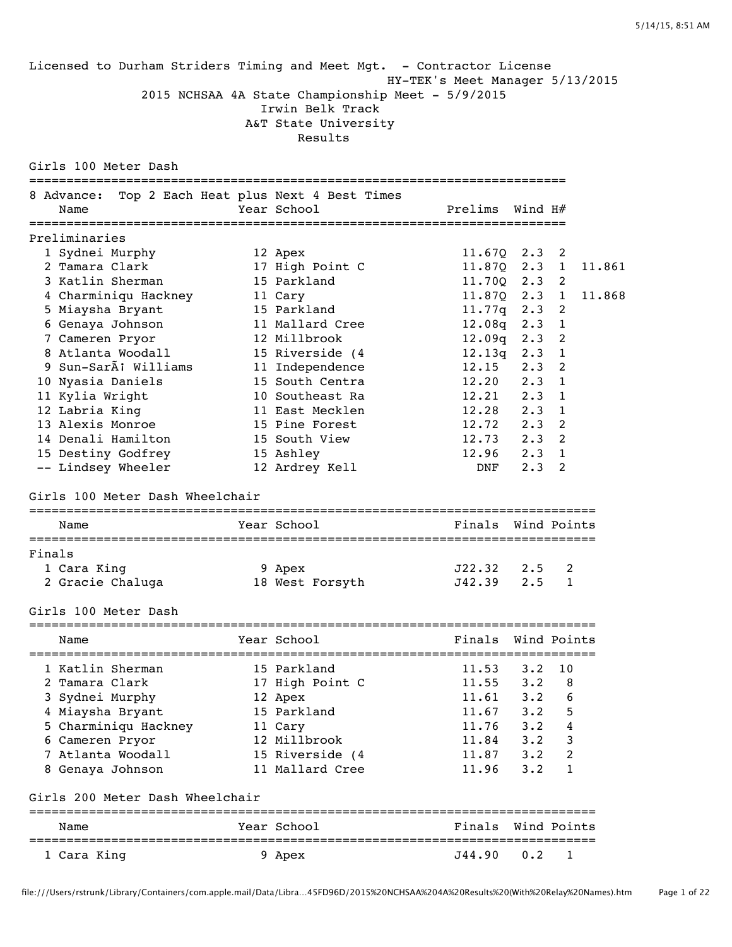|        | Licensed to Durham Striders Timing and Meet Mgt. - Contractor License |                                                                                                          |                                 |               |                            |        |
|--------|-----------------------------------------------------------------------|----------------------------------------------------------------------------------------------------------|---------------------------------|---------------|----------------------------|--------|
|        |                                                                       | 2015 NCHSAA 4A State Championship Meet - 5/9/2015<br>Irwin Belk Track<br>A&T State University<br>Results | HY-TEK's Meet Manager 5/13/2015 |               |                            |        |
|        | Girls 100 Meter Dash                                                  |                                                                                                          |                                 |               |                            |        |
|        | 8 Advance:                                                            | Top 2 Each Heat plus Next 4 Best Times                                                                   |                                 |               |                            |        |
|        | Name                                                                  | Year School                                                                                              | Prelims                         | Wind H#       |                            |        |
|        |                                                                       |                                                                                                          |                                 |               |                            |        |
|        | Preliminaries                                                         |                                                                                                          |                                 |               |                            |        |
|        | 1 Sydnei Murphy                                                       | 12 Apex                                                                                                  | 11.670                          | $2.3$ 2       |                            |        |
|        | 2 Tamara Clark                                                        | 17 High Point C                                                                                          | 11.87Q                          | $2.3 \quad 1$ |                            | 11.861 |
|        | 3 Katlin Sherman                                                      | 15 Parkland                                                                                              | 11.700                          | $2.3$ 2       |                            |        |
|        | 4 Charminiqu Hackney                                                  | 11 Cary                                                                                                  | 11.87Q                          | $2.3 \quad 1$ |                            | 11.868 |
|        | 5 Miaysha Bryant                                                      | 15 Parkland                                                                                              | 11.77q                          | 2.3           | $\overline{\phantom{0}}$   |        |
|        | 6 Genaya Johnson                                                      | 11 Mallard Cree                                                                                          | 12.08q                          | 2.3           | $\overline{1}$             |        |
|        | 7 Cameren Pryor                                                       | 12 Millbrook                                                                                             | 12.09q                          | 2.3           | $\overline{\phantom{0}}$ 2 |        |
|        | 8 Atlanta Woodall                                                     | 15 Riverside (4                                                                                          | 12.13q                          | 2.3           | $\overline{1}$             |        |
|        | 9 Sun-SarÃ; Williams                                                  | 11 Independence                                                                                          | 12.15                           | 2.3           | $\overline{\phantom{0}}$   |        |
|        | 10 Nyasia Daniels                                                     | 15 South Centra                                                                                          | 12.20                           | $2.3$ 1       |                            |        |
|        | 11 Kylia Wright                                                       | 10 Southeast Ra                                                                                          | 12.21                           | 2.3           | $\overline{1}$             |        |
|        | 12 Labria King                                                        | 11 East Mecklen                                                                                          | 12.28                           | 2.3           | $\overline{1}$             |        |
|        | 13 Alexis Monroe                                                      | 15 Pine Forest                                                                                           | 12.72                           | $2.3$ 2       |                            |        |
|        | 14 Denali Hamilton                                                    | 15 South View                                                                                            | 12.73                           | $2.3$ 2       |                            |        |
|        | 15 Destiny Godfrey                                                    | 15 Ashley                                                                                                | 12.96                           | $2.3 \quad 1$ | 2                          |        |
|        | -- Lindsey Wheeler                                                    | 12 Ardrey Kell                                                                                           | DNF                             | $2 \cdot 3$   |                            |        |
|        | Girls 100 Meter Dash Wheelchair                                       |                                                                                                          |                                 |               |                            |        |
|        | Name                                                                  | Year School                                                                                              | Finals Wind Points              |               |                            |        |
| Finals |                                                                       |                                                                                                          |                                 |               |                            |        |
|        | 1 Cara King                                                           | 9 Apex                                                                                                   | J22.32                          | 2.5           | 2                          |        |
|        | 2 Gracie Chaluga                                                      | 18 West Forsyth                                                                                          | J42.39                          | 2.5           | $\mathbf{1}$               |        |
|        |                                                                       |                                                                                                          |                                 |               |                            |        |
|        | Girls 100 Meter Dash                                                  |                                                                                                          |                                 |               |                            |        |
|        | Name                                                                  | Year School                                                                                              | Finals                          |               | Wind Points                |        |
|        | 1 Katlin Sherman                                                      | 15 Parkland                                                                                              | 11.53                           | $3 \cdot 2$   | 10                         |        |
|        | 2 Tamara Clark                                                        | 17 High Point C                                                                                          | 11.55                           | $3 \cdot 2$   | 8                          |        |
|        | 3 Sydnei Murphy                                                       | 12 Apex                                                                                                  | 11.61                           | 3.2           | 6                          |        |
|        | 4 Miaysha Bryant                                                      | 15 Parkland                                                                                              | 11.67                           | $3 \cdot 2$   | 5                          |        |
|        | 5 Charminiqu Hackney                                                  | 11 Cary                                                                                                  | 11.76                           | $3 \cdot 2$   | 4                          |        |
|        | 6 Cameren Pryor                                                       | 12 Millbrook                                                                                             | 11.84                           | $3 \cdot 2$   | 3                          |        |
|        | 7 Atlanta Woodall                                                     | 15 Riverside (4                                                                                          | 11.87                           | $3 \cdot 2$   | 2                          |        |
|        | 8 Genaya Johnson                                                      | 11 Mallard Cree                                                                                          | 11.96                           | 3.2           | 1                          |        |
|        | Girls 200 Meter Dash Wheelchair                                       |                                                                                                          |                                 |               |                            |        |
|        | Name                                                                  | Year School                                                                                              | Finals                          |               | Wind Points                |        |
|        | 1 Cara King                                                           | 9 Apex                                                                                                   | J44.90                          | 0.2           | 1                          |        |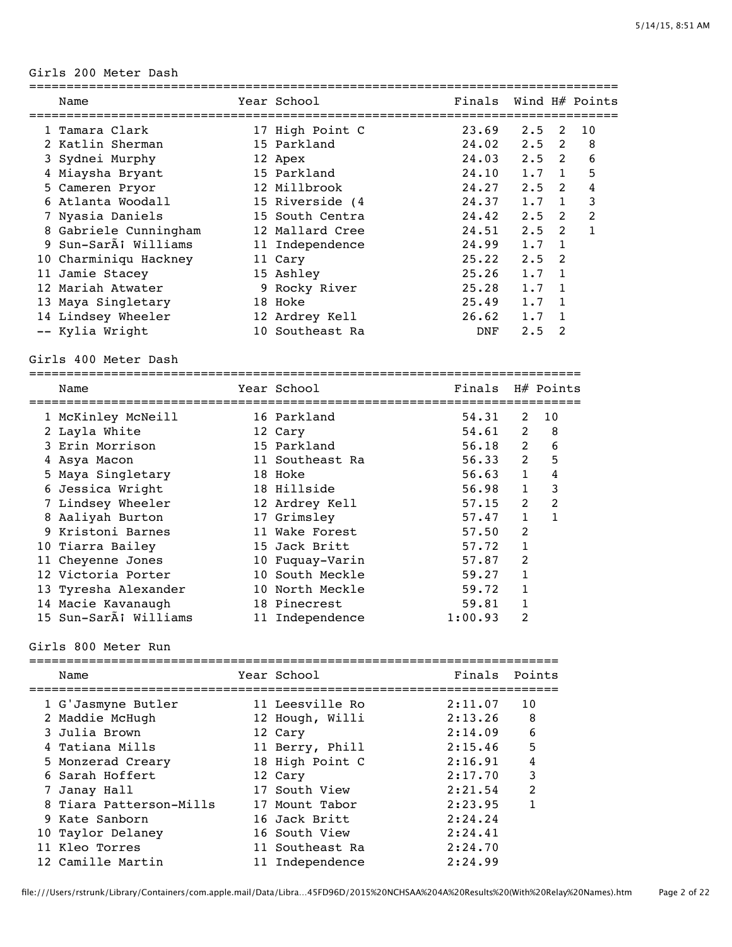#### Girls 200 Meter Dash

| Name |                                                                                                                                                                                                                                                                                                                        | Finals                                                                                                                                                                                                                                                       |     |                |                                                                                                                |
|------|------------------------------------------------------------------------------------------------------------------------------------------------------------------------------------------------------------------------------------------------------------------------------------------------------------------------|--------------------------------------------------------------------------------------------------------------------------------------------------------------------------------------------------------------------------------------------------------------|-----|----------------|----------------------------------------------------------------------------------------------------------------|
|      |                                                                                                                                                                                                                                                                                                                        | 23.69                                                                                                                                                                                                                                                        | 2.5 | 2              | 10                                                                                                             |
|      |                                                                                                                                                                                                                                                                                                                        | 24.02                                                                                                                                                                                                                                                        |     |                | 8                                                                                                              |
|      |                                                                                                                                                                                                                                                                                                                        |                                                                                                                                                                                                                                                              |     |                | 6                                                                                                              |
|      |                                                                                                                                                                                                                                                                                                                        | 24.10                                                                                                                                                                                                                                                        | 1.7 | 1              | 5                                                                                                              |
|      |                                                                                                                                                                                                                                                                                                                        | 24.27                                                                                                                                                                                                                                                        |     |                | 4                                                                                                              |
|      |                                                                                                                                                                                                                                                                                                                        | 24.37                                                                                                                                                                                                                                                        |     | $\overline{1}$ | 3                                                                                                              |
|      |                                                                                                                                                                                                                                                                                                                        | 24.42                                                                                                                                                                                                                                                        |     | $\overline{2}$ | $\mathcal{L}$                                                                                                  |
|      |                                                                                                                                                                                                                                                                                                                        | 24.51                                                                                                                                                                                                                                                        |     |                | 1                                                                                                              |
|      |                                                                                                                                                                                                                                                                                                                        | 24.99                                                                                                                                                                                                                                                        |     | $\overline{1}$ |                                                                                                                |
|      |                                                                                                                                                                                                                                                                                                                        | 25.22                                                                                                                                                                                                                                                        | 2.5 | $\overline{2}$ |                                                                                                                |
|      |                                                                                                                                                                                                                                                                                                                        | 25.26                                                                                                                                                                                                                                                        |     | $\overline{1}$ |                                                                                                                |
|      |                                                                                                                                                                                                                                                                                                                        | 25.28                                                                                                                                                                                                                                                        | 1.7 | $\overline{1}$ |                                                                                                                |
|      |                                                                                                                                                                                                                                                                                                                        | 25.49                                                                                                                                                                                                                                                        | 1.7 | $\mathbf{1}$   |                                                                                                                |
|      |                                                                                                                                                                                                                                                                                                                        | 26.62                                                                                                                                                                                                                                                        | 1.7 | $\overline{1}$ |                                                                                                                |
|      |                                                                                                                                                                                                                                                                                                                        | DNF                                                                                                                                                                                                                                                          | 2.5 | $\mathfrak{D}$ |                                                                                                                |
|      | 1 Tamara Clark<br>2 Katlin Sherman<br>3 Sydnei Murphy<br>4 Miaysha Bryant<br>5 Cameren Pryor<br>6 Atlanta Woodall<br>7 Nyasia Daniels<br>8 Gabriele Cunningham<br>9 Sun-SarÀi Williams<br>10 Charminiqu Hackney<br>11 Jamie Stacey<br>12 Mariah Atwater<br>13 Maya Singletary<br>14 Lindsey Wheeler<br>-- Kylia Wright | Year School<br>17 High Point C<br>15 Parkland<br>12 Apex<br>15 Parkland<br>12 Millbrook<br>15 Riverside (4<br>15 South Centra<br>12 Mallard Cree<br>11 Independence<br>11 Cary<br>15 Ashley<br>9 Rocky River<br>18 Hoke<br>12 Ardrey Kell<br>10 Southeast Ra |     | 24.03          | Wind H# Points<br>$2.5 \quad 2$<br>$2.5 \quad 2$<br>$2.5 \quad 2$<br>1.7<br>2.5<br>$2.5 \quad 2$<br>1.7<br>1.7 |

# Girls 400 Meter Dash<br>=============--------

| Name                  | Year School     | Finals  |                         | H# Points |
|-----------------------|-----------------|---------|-------------------------|-----------|
| 1 McKinley McNeill    | 16 Parkland     | 54.31   | 2                       | 10        |
| 2 Layla White         | 12 Cary         | 54.61   | $\mathcal{L}$           | 8         |
| 3 Erin Morrison       | 15 Parkland     | 56.18   | $\overline{2}$          | 6         |
| 4 Asya Macon          | 11 Southeast Ra | 56.33   | $\overline{2}$          | 5         |
| 5 Maya Singletary     | 18 Hoke         | 56.63   | $\mathbf{1}$            | 4         |
| 6 Jessica Wright      | 18 Hillside     | 56.98   |                         | 3         |
| 7 Lindsey Wheeler     | 12 Ardrey Kell  | 57.15   | $\overline{2}$          | 2         |
| 8 Aaliyah Burton      | 17 Grimsley     | 57.47   | 1                       |           |
| 9 Kristoni Barnes     | 11 Wake Forest  | 57.50   | 2                       |           |
| 10 Tiarra Bailey      | 15 Jack Britt   | 57.72   | 1                       |           |
| 11 Cheyenne Jones     | 10 Fuquay-Varin | 57.87   | $\mathcal{L}$           |           |
| 12 Victoria Porter    | 10 South Meckle | 59.27   |                         |           |
| 13 Tyresha Alexander  | 10 North Meckle | 59.72   |                         |           |
| 14 Macie Kavanaugh    | 18 Pinecrest    | 59.81   |                         |           |
| 15 Sun-SarĀ; Williams | 11 Independence | 1:00.93 | $\overline{\mathbf{c}}$ |           |

#### Girls 800 Meter Run

| Name                    | Year School     | Finals  | Points         |
|-------------------------|-----------------|---------|----------------|
| 1 G'Jasmyne Butler      | 11 Leesville Ro | 2:11.07 | 10             |
| 2 Maddie McHugh         | 12 Hough, Willi | 2:13.26 | - 8            |
| 3 Julia Brown           | 12 Cary         | 2:14.09 | 6              |
| 4 Tatiana Mills         | 11 Berry, Phill | 2:15.46 | .5             |
| 5 Monzerad Creary       | 18 High Point C | 2:16.91 | $\overline{4}$ |
| 6 Sarah Hoffert         | 12 Cary         | 2:17.70 | 3              |
| 7 Janay Hall            | 17 South View   | 2:21.54 | $\overline{2}$ |
| 8 Tiara Patterson-Mills | 17 Mount Tabor  | 2:23.95 | 1              |
| 9 Kate Sanborn          | 16 Jack Britt   | 2:24.24 |                |
| 10 Taylor Delaney       | 16 South View   | 2:24.41 |                |
| 11 Kleo Torres          | 11 Southeast Ra | 2:24.70 |                |
| 12 Camille Martin       | 11 Independence | 2:24.99 |                |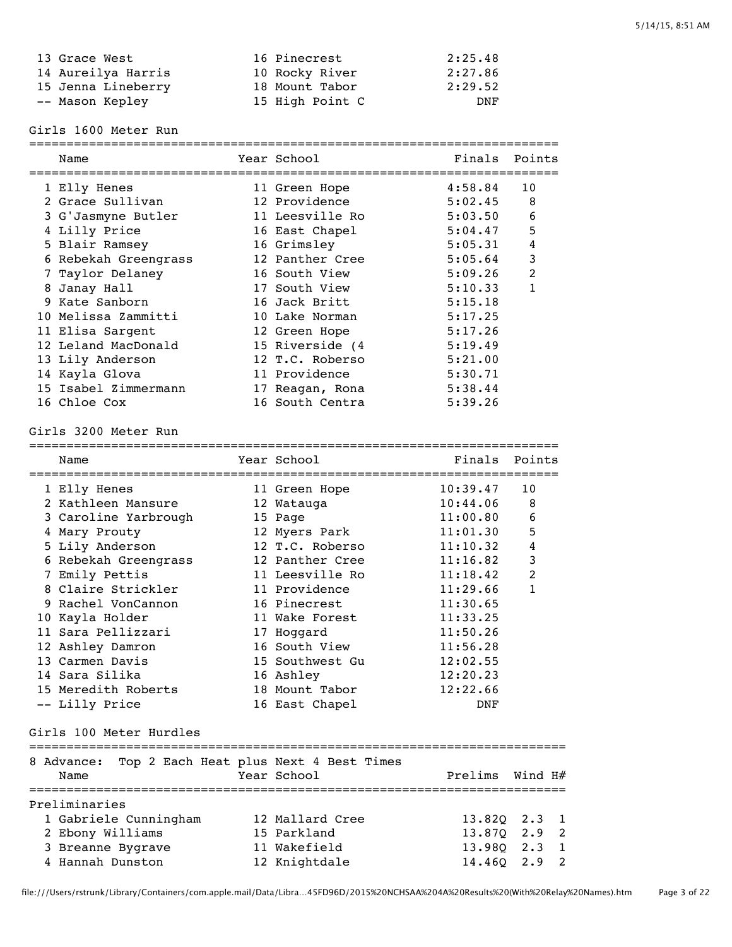| 13 Grace West      | 16 Pinecrest    | 2:25.48 |
|--------------------|-----------------|---------|
| 14 Aureilya Harris | 10 Rocky River  | 2:27.86 |
| 15 Jenna Lineberry | 18 Mount Tabor  | 2:29.52 |
| -- Mason Kepley    | 15 High Point C | DNF     |

Girls 1600 Meter Run

| Name                 | Year School     | Finals  | Points         |
|----------------------|-----------------|---------|----------------|
| 1 Elly Henes         | 11 Green Hope   | 4:58.84 | 10             |
| 2 Grace Sullivan     | 12 Providence   | 5:02.45 | 8              |
| 3 G'Jasmyne Butler   | 11 Leesville Ro | 5:03.50 | 6              |
| 4 Lilly Price        | 16 East Chapel  | 5:04.47 | 5              |
| 5 Blair Ramsey       | 16 Grimsley     | 5:05.31 | 4              |
| 6 Rebekah Greengrass | 12 Panther Cree | 5:05.64 | 3              |
| 7 Taylor Delaney     | 16 South View   | 5:09.26 | $\overline{2}$ |
| 8 Janay Hall         | 17 South View   | 5:10.33 | 1              |
| 9 Kate Sanborn       | 16 Jack Britt   | 5:15.18 |                |
| 10 Melissa Zammitti  | 10 Lake Norman  | 5:17.25 |                |
| 11 Elisa Sargent     | 12 Green Hope   | 5:17.26 |                |
| 12 Leland MacDonald  | 15 Riverside (4 | 5:19.49 |                |
| 13 Lily Anderson     | 12 T.C. Roberso | 5:21.00 |                |
| 14 Kayla Glova       | 11 Providence   | 5:30.71 |                |
| 15 Isabel Zimmermann | 17 Reagan, Rona | 5:38.44 |                |
| 16 Chloe Cox         | 16 South Centra | 5:39.26 |                |

### Girls 3200 Meter Run

| walle                               | IEAL JUNUUI     | $r \perp \blacksquare$ | FUILLS       |
|-------------------------------------|-----------------|------------------------|--------------|
| ===================<br>1 Elly Henes | 11 Green Hope   | 10:39.47               | 10           |
| 2 Kathleen Mansure                  | 12 Watauga      | 10:44.06               | 8            |
| 3 Caroline Yarbrough                | 15 Page         | 11:00.80               | 6            |
| 4 Mary Prouty                       | 12 Myers Park   | 11:01.30               | 5            |
| 5 Lily Anderson                     | 12 T.C. Roberso | 11:10.32               | 4            |
| 6 Rebekah Greengrass                | 12 Panther Cree | 11:16.82               | 3            |
| 7 Emily Pettis                      | 11 Leesville Ro | 11:18.42               | 2            |
| 8 Claire Strickler                  | 11 Providence   | 11:29.66               | $\mathbf{1}$ |
| 9 Rachel VonCannon                  | 16 Pinecrest    | 11:30.65               |              |
| 10 Kayla Holder                     | 11 Wake Forest  | 11:33.25               |              |
| 11 Sara Pellizzari                  | 17 Hoqqard      | 11:50.26               |              |
| 12 Ashley Damron                    | 16 South View   | 11:56.28               |              |
| 13 Carmen Davis                     | 15 Southwest Gu | 12:02.55               |              |
| 14 Sara Silika                      | 16 Ashley       | 12:20.23               |              |
| 15 Meredith Roberts                 | 18 Mount Tabor  | 12:22.66               |              |
| -- Lilly Price                      | 16 East Chapel  | DNF                    |              |

#### Girls 100 Meter Hurdles

| 8 Advance:<br>Name    |  |  | Top 2 Each Heat plus Next 4 Best Times<br>Year School |  | Prelims      | Wind H# |  |
|-----------------------|--|--|-------------------------------------------------------|--|--------------|---------|--|
| Preliminaries         |  |  |                                                       |  |              |         |  |
| 1 Gabriele Cunningham |  |  | 12 Mallard Cree                                       |  | 13.820 2.3 1 |         |  |
| 2 Ebony Williams      |  |  | 15 Parkland                                           |  | 13.870 2.9 2 |         |  |
| 3 Breanne Bygrave     |  |  | 11 Wakefield                                          |  | 13.980 2.3 1 |         |  |
| 4 Hannah Dunston      |  |  | 12 Knightdale                                         |  | 14.460 2.9 2 |         |  |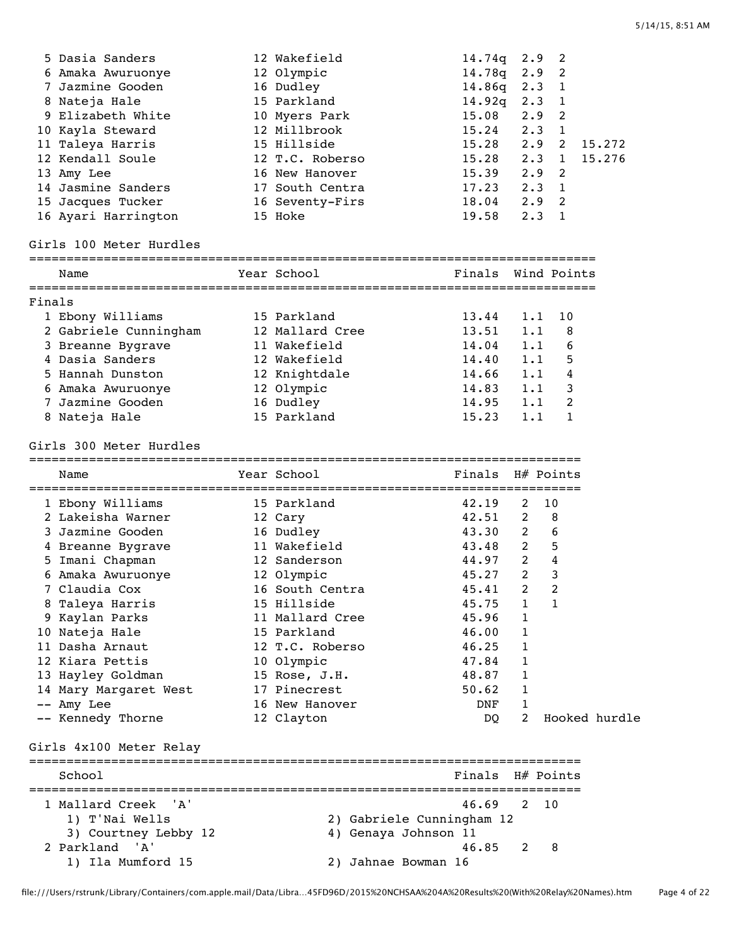|        | 5 Dasia Sanders         | 12 Wakefield              | 14.74q             | 2.9            | 2              |               |
|--------|-------------------------|---------------------------|--------------------|----------------|----------------|---------------|
|        | 6 Amaka Awuruonye       | 12 Olympic                | 14.78q             | 2.9            | 2              |               |
|        | 7 Jazmine Gooden        | 16 Dudley                 | 14.86g             | 2.3 1          |                |               |
|        | 8 Nateja Hale           | 15 Parkland               | 14.92q             | $2.3 \quad 1$  |                |               |
|        | 9 Elizabeth White       | 10 Myers Park             | 15.08              | $2.9$ 2        |                |               |
|        | 10 Kayla Steward        | 12 Millbrook              | 15.24              | $2 \cdot 3$    | $\overline{1}$ |               |
|        | 11 Taleya Harris        | 15 Hillside               | 15.28              | 2.9            | 2              | 15.272        |
|        | 12 Kendall Soule        | 12 T.C. Roberso           | 15.28              | $2.3 \quad 1$  |                | 15.276        |
|        | 13 Amy Lee              | 16 New Hanover            | 15.39              | 2.9            | 2              |               |
|        | 14 Jasmine Sanders      | 17 South Centra           | 17.23              | $2.3 \quad 1$  |                |               |
|        | 15 Jacques Tucker       | 16 Seventy-Firs           | 18.04              | $2.9$ 2        |                |               |
|        | 16 Ayari Harrington     | 15 Hoke                   | 19.58              | $2 \cdot 3$    | 1              |               |
|        | Girls 100 Meter Hurdles |                           |                    |                |                |               |
|        | Name                    | Year School               | Finals Wind Points |                |                |               |
| Finals |                         |                           |                    |                |                |               |
|        | 1 Ebony Williams        | 15 Parkland               | 13.44              | 1.1            | 10             |               |
|        | 2 Gabriele Cunningham   | 12 Mallard Cree           | 13.51              | 1.1            | 8              |               |
|        | 3 Breanne Bygrave       | 11 Wakefield              | 14.04              | 1.1            | 6              |               |
|        | 4 Dasia Sanders         | 12 Wakefield              | 14.40              | 1.1            | 5              |               |
|        | 5 Hannah Dunston        | 12 Knightdale             | 14.66              | 1.1            | $\overline{4}$ |               |
|        | 6 Amaka Awuruonye       | 12 Olympic                | 14.83              | 1.1            | 3              |               |
|        | 7 Jazmine Gooden        | 16 Dudley                 | 14.95              | 1.1            | 2              |               |
|        | 8 Nateja Hale           | 15 Parkland               | 15.23              | 1.1            | $\mathbf{1}$   |               |
|        | Girls 300 Meter Hurdles |                           |                    |                |                |               |
|        |                         |                           |                    |                |                |               |
|        | Name                    | Year School               | Finals H# Points   |                |                |               |
|        | 1 Ebony Williams        | 15 Parkland               | 42.19              | 2              | 10             |               |
|        | 2 Lakeisha Warner       | 12 Cary                   | 42.51              | 2              | 8              |               |
|        | 3 Jazmine Gooden        | 16 Dudley                 | 43.30              | 2              | 6              |               |
|        | 4 Breanne Bygrave       | 11 Wakefield              | 43.48              | $\overline{2}$ | 5              |               |
|        | 5 Imani Chapman         | 12 Sanderson              | 44.97              | $2^{\circ}$    | $\overline{4}$ |               |
|        | 6 Amaka Awuruonye       | 12 Olympic                | 45.27              | $\overline{2}$ | 3              |               |
|        | 7 Claudia Cox           | 16 South Centra           | 45.41              | 2              | 2              |               |
|        | 8 Taleya Harris         | 15 Hillside               | 45.75              | 1              | 1              |               |
|        | 9 Kaylan Parks          | 11 Mallard Cree           | 45.96              | 1              |                |               |
|        | 10 Nateja Hale          | 15 Parkland               | 46.00              | 1              |                |               |
|        | 11 Dasha Arnaut         | 12 T.C. Roberso           | 46.25              | 1              |                |               |
|        | 12 Kiara Pettis         | 10 Olympic                | 47.84              | 1              |                |               |
|        | 13 Hayley Goldman       | 15 Rose, J.H.             | 48.87              | 1              |                |               |
|        | 14 Mary Margaret West   | 17 Pinecrest              | 50.62              | $\mathbf{1}$   |                |               |
|        | -- Amy Lee              | 16 New Hanover            | DNF                | 1              |                |               |
|        | -- Kennedy Thorne       | 12 Clayton                | DQ                 | 2              |                | Hooked hurdle |
|        | Girls 4x100 Meter Relay |                           |                    |                |                |               |
|        | School                  |                           | Finals H# Points   |                |                |               |
|        |                         |                           |                    |                |                |               |
|        | 1 Mallard Creek 'A'     |                           | 46.69              | 2              | 10             |               |
|        | 1) T'Nai Wells          | 2) Gabriele Cunningham 12 |                    |                |                |               |
|        | 3) Courtney Lebby 12    | 4) Genaya Johnson 11      |                    |                |                |               |
|        | 2 Parkland 'A'          |                           | 46.85              | 2              | - 8            |               |
|        | 1) Ila Mumford 15       | 2) Jahnae Bowman 16       |                    |                |                |               |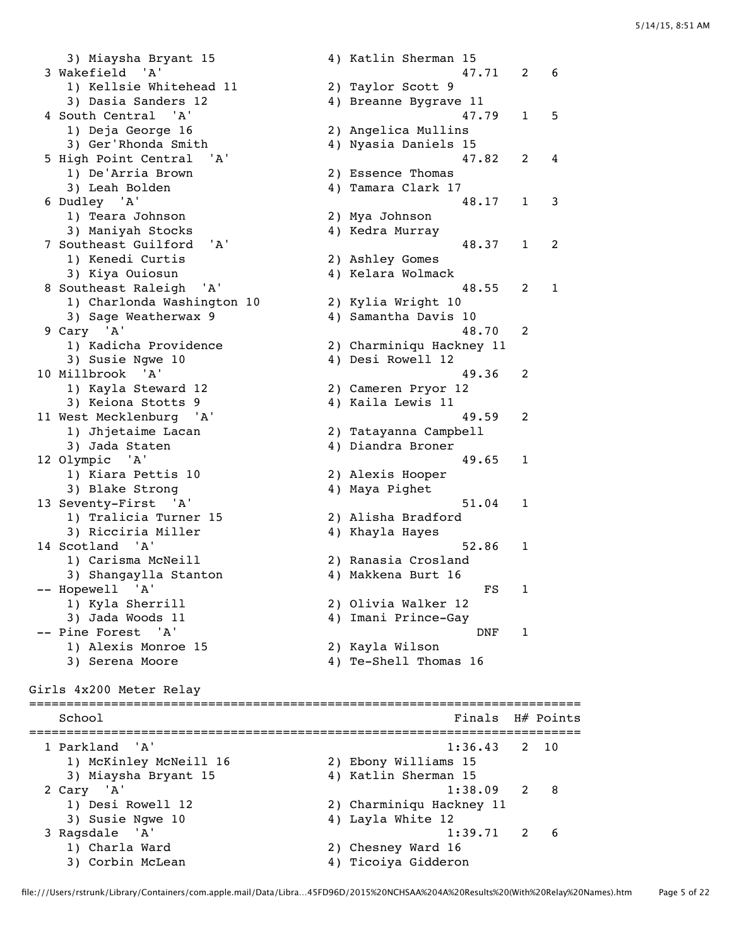3) Miaysha Bryant 15 4) Katlin Sherman 15 3 Wakefield 'A' 47.71 2 6 1) Kellsie Whitehead 11 2) Taylor Scott 9 3) Dasia Sanders 12 4) Breanne Bygrave 11 4 South Central 'A' 47.79 1 5 1) Deja George 16 2) Angelica Mullins 3) Ger'Rhonda Smith 4) Nyasia Daniels 15 5 High Point Central 'A' 47.82 2 4 1) De'Arria Brown 2) Essence Thomas 3) Leah Bolden (2008) 4) Tamara Clark 17 6 Dudley 'A' 48.17 1 3 1) Teara Johnson 2) Mya Johnson 3) Maniyah Stocks 4) Kedra Murray 7 Southeast Guilford 'A' 48.37 1 2 1) Kenedi Curtis 2) Ashley Gomes 3) Kiya Ouiosun 4) Kelara Wolmack 8 Southeast Raleigh 'A' 48.55 2 1 1) Charlonda Washington 10 3) Sage Weatherwax 9 4) Samantha Davis 10 9 Cary 'A' 48.70 2 1) Kadicha Providence 2) Charminiqu Hackney 11 3) Susie Ngwe 10 4) Desi Rowell 12 10 Millbrook 'A' 49.36 2 1) Kayla Steward 12 2) Cameren Pryor 12 3) Keiona Stotts 9 4) Kaila Lewis 11 11 West Mecklenburg 'A' 49.59 2 1) Jhjetaime Lacan 2) Tatayanna Campbell 3) Jada Staten (4) Diandra Broner 12 Olympic 'A' 49.65 1 1) Kiara Pettis 10 2) Alexis Hooper 3) Blake Strong 4) Maya Pighet 13 Seventy-First 'A' 51.04 1  $1)$  Tralicia Turner 15 3) Ricciria Miller 4) Khayla Hayes 14 Scotland 'A' 52.86 1 1) Carisma McNeill 2) Ranasia Crosland 3) Shangaylla Stanton (4) Makkena Burt 16 -- Hopewell 'A' FS 1 1) Kyla Sherrill 2) Olivia Walker 12 3) Jada Woods 11 4) Imani Prince-Gay -- Pine Forest 'A' DNF 1 1.1.1<br>1) Alexis Monroe 15 1) Alexis Monroe 15 (2) Xayla Wilson<br>3) Serena Moore (4) Te-Shell Thomas 16 Girls 4x200 Meter Relay ========================================================================== School **Finals** H# Points ========================================================================== 1 Parkland 'A' 1:36.43 2 10 1) McKinley McNeill 16 2) Ebony Williams 15 3) Miaysha Bryant 15 4) Katlin Sherman 15 2 Cary 'A' 1:38.09 2 8 1) Desi Rowell 12 2) Charminiqu Hackney 11 3) Susie Ngwe 10 4) Layla White 12 3 Ragsdale 'A' 1:39.71 2 6 1) Charla Ward 2) Chesney Ward 16 3) Corbin McLean 4) Ticoiya Gidderon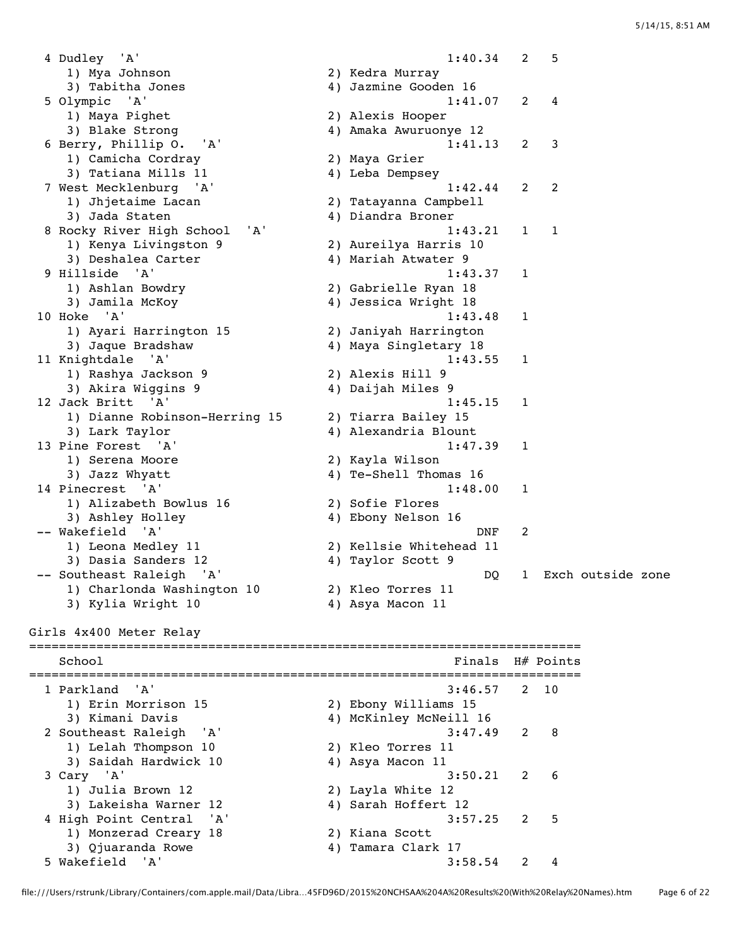4 Dudley 'A' 1:40.34 2 5 1) Mya Johnson 2) Kedra Murray 3) Tabitha Jones 4) Jazmine Gooden 16 5 Olympic 'A' 1:41.07 2 4 1) Maya Pighet 2) Alexis Hooper 3) Blake Strong 4) Amaka Awuruonye 12 6 Berry, Phillip O. 'A' 1:41.13 2 3<br>1) Camicha Cordray 2) Maya Grier 1) Camicha Cordray 3) Tatiana Mills 11 4) Leba Dempsey 7 West Mecklenburg 'A' 1:42.44 2 2 1) Jhjetaime Lacan 2) Tatayanna Campbell 3) Jada Staten 4) Diandra Broner 8 Rocky River High School 'A' 1:43.21 1 1 1) Kenya Livingston 9 3) Deshalea Carter (4) Mariah Atwater 9 9 Hillside 'A' 1:43.37 1 1) Ashlan Bowdry 2) Gabrielle Ryan 18 3) Jamila McKoy 4) Jessica Wright 18 10 Hoke 'A' 1:43.48 1<br>1 Ayari Harrington 15 2) Janiyah Harrington<br>2 Ayari Harrington 1) Ayari Harrington 15 2) Janiyah Harrington 3) Jaque Bradshaw 4) Maya Singletary 18 11 Knightdale 'A' 1:43.55 1 1) Rashya Jackson 9 2) Alexis Hill 9 3) Akira Wiggins 9 4) Daijah Miles 9 12 Jack Britt 'A' 1:45.15 1 1) Dianne Robinson-Herring 15 2) Tiarra Bailey 15 3) Lark Taylor 4) Alexandria Blount 13 Pine Forest 'A' 1:47.39 1 1) Serena Moore 2) Kayla Wilson 3) Jazz Whyatt 4) Te-Shell Thomas 16 14 Pinecrest 'A' 1:48.00 1 1) Alizabeth Bowlus 16 2) Sofie Flores 3) Ashley Holley 4) Ebony Nelson 16 -- Wakefield 'A' DNF 2 1) Leona Medley 11 2) Kellsie Whitehead 11<br>3) Dasia Sanders 12 4) Taylor Scott 9 3) Dasia Sanders 12 -- Southeast Raleigh 'A' (2002) 2003 --2-2008 -- DQ 1 Exch outside zone 1) Charlonda Washington 10 2) Kleo Torres 11 3) Kylia Wright 10 4) Asya Macon 11 Girls 4x400 Meter Relay ========================================================================== School **Finals H**# Points ========================================================================== 1 Parkland 'A' 3:46.57 2 10<br>1) Erin Morrison 15 2) Ebony Williams 15 1) Erin Morrison 15<br>3) Kimani Davis 3) Kimani Davis 4) McKinley McNeill 16 3:47.49 2 8 2 Southeast Raleigh 'A' 1) Lelah Thompson 10 2) Kleo Torres 11<br>3) Saidah Hardwick 10 4) Asya Macon 11 and the comparation of the contract the contract of the series of the contract of the contract of the contract<br>
ary 'A' 3:50.21 2 3 Cary 'A' 3:50.21 2 6 1) Julia Brown 12 2) Layla White 12 3) Lakeisha Warner 12 4) Sarah Hoffert 12 4 High Point Central 'A' 3:57.25 2 5 1) Monzerad Creary 18 2) Kiana Scott 9) Campan (igh Point Central 'A' (igh Point Central 'A' (i) and Scott (i) and Scott (i) and Scott (i) and Alphan (i) and Alphan (i) and Alphan (i) and Alphan (i) and Alphan (i) and Alphan (i) and Alphan (i) and Alphan (i)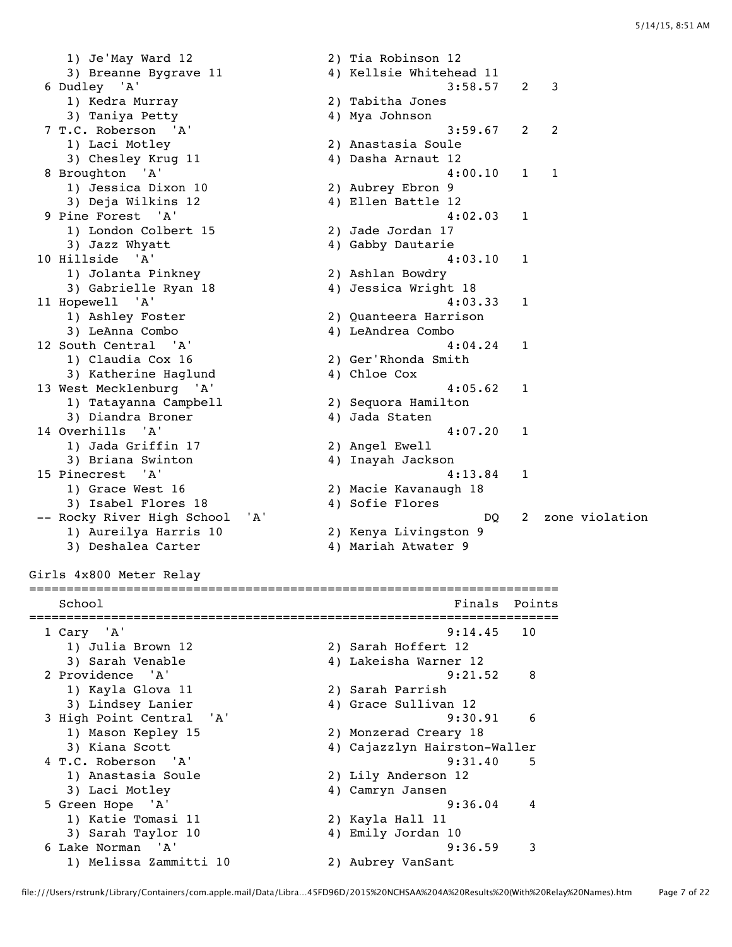1) Je'May Ward 12 2) Tia Robinson 12 3) Breanne Bygrave 11 4) Kellsie Whitehead 11 6 Dudley 'A' 3:58.57 2 3 1) Kedra Murray 2) Tabitha Jones 3) Taniya Petty 4) Mya Johnson 7 T.C. Roberson 'A' 3:59.67 2 2 1) Laci Motley (2) Anastasia Soule<br>3) Chesley Krug 11 (2) 4) Dasha Arnaut 12 3) Chesley Krug 11 8 Broughton 'A' 4:00.10 1 1 1) Jessica Dixon 10 and the set of the set of the set of the set of the set of the set of the set of the set of the set of the set<br>13 deja Wilkins 12 3 and 4 and 4 bilen Battle 12 9 Pine Forest 'A' 4:02.03 1 1) London Colbert 15 1) London Colbert 15 (2) Jade Jordan 17<br>3) Jazz Whyatt (4) Gabby Dautarie 10 Hillside 'A' 4:03.10 1<br>1) Jolanta Pinkney 2) Ashlan Bowdry<br>3) Gabrielle Ryan 18 4) Jessica Wright 18 1) Jolanta Pinkney 2) Ashlan Bowdry 3) Gabrielle Ryan 18 4) Jessica Wright 18 11 Hopewell 'A' 4:03.33 1 1) Ashley Foster 2) Quanteera Harrison 3) LeAnna Combo 4) LeAndrea Combo 12 South Central 'A' 4:04.24 1 1) Claudia Cox 16 2) Ger'Rhonda Smith 3) Katherine Haglund 4) Chloe Cox 13 West Mecklenburg 'A' 4:05.62 1<br>1) Tatayanna Campbell 2) Sequora Hamilton 1) Tatayanna Campbell 2) Sequora Hamilton 3) Diandra Broner (4) Jada Staten 14 Overhills 'A' 4:07.20 1<br>1) Jada Griffin 17 2) Angel Ewell<br>3) Briana Swinton 4) Inayah Jackson 1) Jada Griffin 17 2) Angel Ewell 3) Briana Swinton 4) Inayah Jackson 15 Pinecrest 'A' 4:13.84 1 1) Grace West 16 2) Macie Kavanaugh 18 3) Isabel Flores 18 4) Sofie Flores -- Rocky River High School 'A' DQ 2 zone violation 1) Aureilya Harris 10<br>3) Deshalea Carter 3) Deshalea Carter 4) (100 - 4) Mariah Atwater 4)<br>3) Deshalea Carter 4) Mariah Atwater 9 Girls 4x800 Meter Relay =======================================================================

```
School Finals Points
=======================================================================
 1 Cary 'A' 9:14.45 10 
 1) Julia Brown 12 2) Sarah Hoffert 12 
 3) Sarah Venable 4) Lakeisha Warner 12 
 2 Providence 'A' 9:21.52 8 
 1) Kayla Glova 11 2) Sarah Parrish 
 3) Lindsey Lanier 4) Grace Sullivan 12 
  3 High Point Central 'A' 9:30.91 6 
 1) Mason Kepley 15 2) Monzerad Creary 18 
 3) Kiana Scott 4) Cajazzlyn Hairston-Waller 
  4 T.C. Roberson 'A' 9:31.40 5 
 1) Anastasia Soule 2) Lily Anderson 12 
 3) Laci Motley 4) Camryn Jansen 
 5 Green Hope 'A' 9:36.04 4 
 1) Katie Tomasi 11 2) Kayla Hall 11 
 3) Sarah Taylor 10 4) Emily Jordan 10 
 6 Lake Norman 'A' 9:36.59 3 
    1) Melissa Zammitti 10 2) Aubrey VanSant
```
#### file:///Users/rstrunk/Library/Containers/com.apple.mail/Data/Libra…45FD96D/2015%20NCHSAA%204A%20Results%20(With%20Relay%20Names).htm Page 7 of 22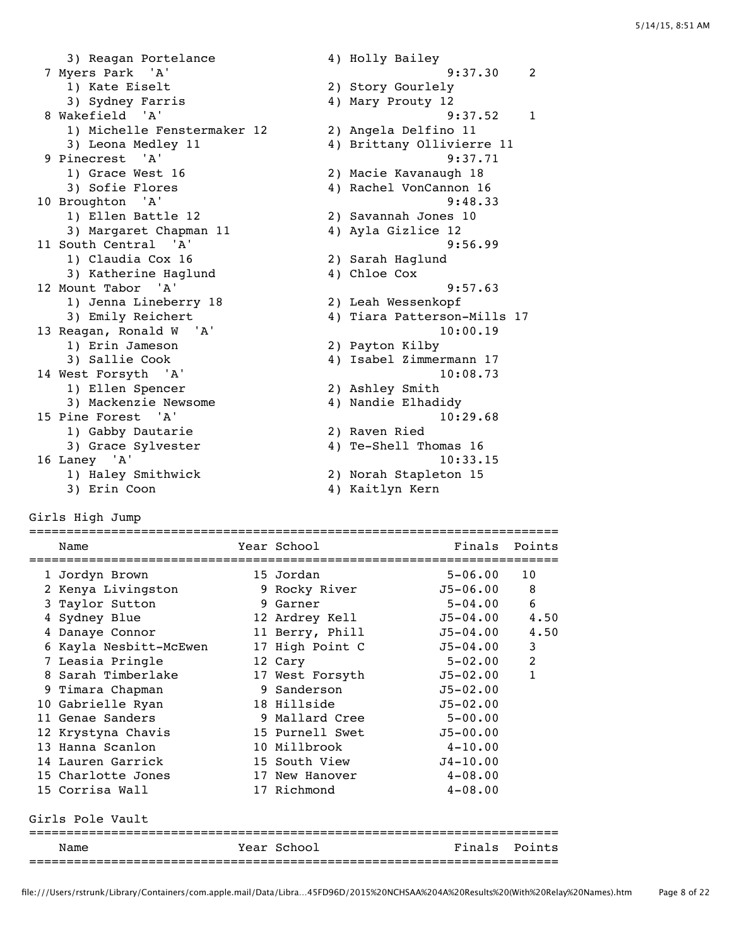3) Reagan Portelance 4) Holly Bailey 7 Myers Park 'A' 9:37.30 2 1) Kate Eiselt 2) Story Gourlely 3) Sydney Farris 4) Mary Prouty 12 8 Wakefield 'A' 9:37.52 1 1) Michelle Fenstermaker 12 2) Angela Delfino 11 3) Leona Medley 11 4) Brittany Ollivierre 11 9 Pinecrest 'A' 9:37.71 1) Grace West 16 2) Macie Kavanaugh 18 3) Sofie Flores 4) Rachel VonCannon 16 10 Broughton 'A' 9:48.33 1) Ellen Battle 12 2) Savannah Jones 10 3) Margaret Chapman 11 4) Ayla Gizlice 12 11 South Central 'A' 9:56.99 1) Claudia Cox 16 2) Sarah Haglund 3) Katherine Haglund 4) Chloe Cox 12 Mount Tabor 'A' 9:57.63 1) Jenna Lineberry 18 2) Leah Wessenkopf 3) Emily Reichert 4) Tiara Patterson-Mills 17 13 Reagan, Ronald W 'A' 10:00.19 1) Erin Jameson 2) Payton Kilby 3) Sallie Cook 4) Isabel Zimmermann 17 14 West Forsyth 'A' 10:08.73 1) Ellen Spencer 2) Ashley Smith 3) Mackenzie Newsome 4) Nandie Elhadidy 15 Pine Forest 'A' 10:29.68 1) Gabby Dautarie 2) Raven Ried 3) Grace Sylvester 4) Te-Shell Thomas 16 16 Laney 'A' 10:33.15 1) Haley Smithwick 2) Norah Stapleton 15 3) Erin Coon 4) Kaitlyn Kern

Girls High Jump

| Name                   | Year School     | Finals       | Points       |
|------------------------|-----------------|--------------|--------------|
| 1 Jordyn Brown         | 15 Jordan       | $5 - 06.00$  | 10           |
| 2 Kenya Livingston     | 9 Rocky River   | J5-06.00     | 8            |
| 3 Taylor Sutton        | 9 Garner        | $5 - 04.00$  | 6            |
| 4 Sydney Blue          | 12 Ardrey Kell  | $J5 - 04.00$ | 4.50         |
| 4 Danaye Connor        | 11 Berry, Phill | $J5 - 04.00$ | 4.50         |
| 6 Kayla Nesbitt-McEwen | 17 High Point C | $J5 - 04.00$ | 3            |
| 7 Leasia Pringle       | 12 Cary         | $5 - 02.00$  | 2            |
| 8 Sarah Timberlake     | 17 West Forsyth | $J5 - 02.00$ | $\mathbf{1}$ |
| 9 Timara Chapman       | 9 Sanderson     | $J5 - 02.00$ |              |
| 10 Gabrielle Ryan      | 18 Hillside     | $J5 - 02.00$ |              |
| 11 Genae Sanders       | 9 Mallard Cree  | $5 - 00.00$  |              |
| 12 Krystyna Chavis     | 15 Purnell Swet | $J5 - 00.00$ |              |
| 13 Hanna Scanlon       | 10 Millbrook    | $4 - 10.00$  |              |
| 14 Lauren Garrick      | 15 South View   | $J4 - 10.00$ |              |
| 15 Charlotte Jones     | 17 New Hanover  | $4 - 08.00$  |              |
| 15 Corrisa Wall        | 17 Richmond     | $4 - 08.00$  |              |
| Girls Pole Vault       |                 |              |              |
| Name                   | Year School     | Finals       | Points       |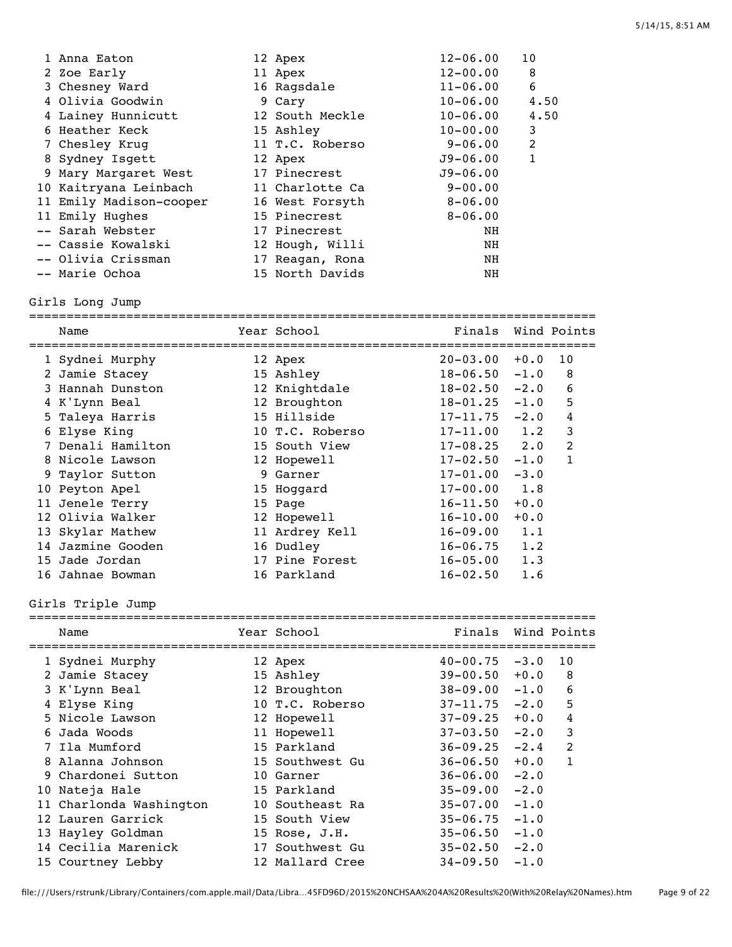| 1 Anna Eaton            | 12 Apex         | $12 - 06.00$ | 10   |
|-------------------------|-----------------|--------------|------|
| 2 Zoe Early             | 11 Apex         | $12 - 00.00$ | 8    |
| 3 Chesney Ward          | 16 Ragsdale     | $11 - 06.00$ | 6    |
| 4 Olivia Goodwin        | 9 Cary          | $10 - 06.00$ | 4.50 |
| 4 Lainey Hunnicutt      | 12 South Meckle | $10 - 06.00$ | 4.50 |
| 6 Heather Keck          | 15 Ashley       | $10 - 00.00$ | 3    |
| 7 Chesley Krug          | 11 T.C. Roberso | 9-06.00      | 2    |
| 8 Sydney Isgett         | 12 Apex         | $J9 - 06.00$ | 1    |
| 9 Mary Margaret West    | 17 Pinecrest    | $J9 - 06.00$ |      |
| 10 Kaitryana Leinbach   | 11 Charlotte Ca | $9 - 00.00$  |      |
| 11 Emily Madison-cooper | 16 West Forsyth | $8 - 06.00$  |      |
| 11 Emily Hughes         | 15 Pinecrest    | $8 - 06.00$  |      |
| -- Sarah Webster        | 17 Pinecrest    | NH.          |      |
| -- Cassie Kowalski      | 12 Hough, Willi | NH           |      |
| -- Olivia Crissman      | 17 Reagan, Rona | NH.          |      |
| -- Marie Ochoa          | 15 North Davids | NH           |      |

#### Girls Long Jump

| Name              | Year School     | Finals           |        | Wind Points    |
|-------------------|-----------------|------------------|--------|----------------|
| 1 Sydnei Murphy   | 12 Apex         | $20 - 03.00$     | $+0.0$ | 10             |
| 2 Jamie Stacey    | 15 Ashley       | $18 - 06.50$     | $-1.0$ | 8              |
| 3 Hannah Dunston  | 12 Knightdale   | $18 - 02.50$     | $-2.0$ | 6              |
| 4 K'Lynn Beal     | 12 Broughton    | $18 - 01.25$     | $-1.0$ | 5              |
| 5 Taleya Harris   | 15 Hillside     | $17 - 11.75$     | $-2.0$ | 4              |
| 6 Elyse King      | 10 T.C. Roberso | $17 - 11.00$     | 1.2    | 3              |
| 7 Denali Hamilton | 15 South View   | $17 - 08.25$ 2.0 |        | $\overline{2}$ |
| 8 Nicole Lawson   | 12 Hopewell     | $17 - 02.50$     | $-1.0$ | 1              |
| 9 Taylor Sutton   | 9 Garner        | $17 - 01.00$     | $-3.0$ |                |
| 10 Peyton Apel    | 15 Hoqqard      | $17 - 00.00$     | 1.8    |                |
| 11 Jenele Terry   | 15 Page         | $16 - 11.50$     | $+0.0$ |                |
| 12 Olivia Walker  | 12 Hopewell     | $16 - 10.00$     | $+0.0$ |                |
| 13 Skylar Mathew  | 11 Ardrey Kell  | $16 - 09.00$     | 1.1    |                |
| 14 Jazmine Gooden | 16 Dudley       | $16 - 06.75$     | 1.2    |                |
| 15 Jade Jordan    | 17 Pine Forest  | $16 - 05.00$     | 1.3    |                |
| 16 Jahnae Bowman  | 16 Parkland     | $16 - 02.50$     | 1.6    |                |
|                   |                 |                  |        |                |

# Girls Triple Jump

| Name                    | Year School       | Finals       |        | Wind Points    |
|-------------------------|-------------------|--------------|--------|----------------|
| 1 Sydnei Murphy         | 12 Apex           | $40 - 00.75$ | $-3.0$ | 10             |
| 2 Jamie Stacey          | 15 Ashley         | $39 - 00.50$ | $+0.0$ | 8              |
| 3 K'Lynn Beal           | 12 Broughton      | $38 - 09.00$ | $-1.0$ | 6              |
| 4 Elyse King            | 10 T.C. Roberso   | $37 - 11.75$ | $-2.0$ | 5              |
| 5 Nicole Lawson         | 12 Hopewell       | $37 - 09.25$ | $+0.0$ | 4              |
| 6 Jada Woods            | 11 Hopewell       | $37 - 03.50$ | $-2.0$ | 3              |
| 7 Ila Mumford           | 15 Parkland       | $36 - 09.25$ | $-2.4$ | $\mathfrak{D}$ |
| 8 Alanna Johnson        | 15 Southwest Gu   | $36 - 06.50$ | $+0.0$ | 1              |
| 9 Chardonei Sutton      | 10 Garner         | $36 - 06.00$ | $-2.0$ |                |
| 10 Nateja Hale          | 15 Parkland       | $35 - 09.00$ | $-2.0$ |                |
| 11 Charlonda Washington | 10 Southeast Ra   | $35 - 07.00$ | $-1.0$ |                |
| 12 Lauren Garrick       | 15 South View     | $35 - 06.75$ | $-1.0$ |                |
| 13 Hayley Goldman       | $15$ Rose, $J.H.$ | $35 - 06.50$ | $-1.0$ |                |
| 14 Cecilia Marenick     | 17 Southwest Gu   | $35 - 02.50$ | $-2.0$ |                |
| 15 Courtney Lebby       | 12 Mallard Cree   | $34 - 09.50$ | $-1.0$ |                |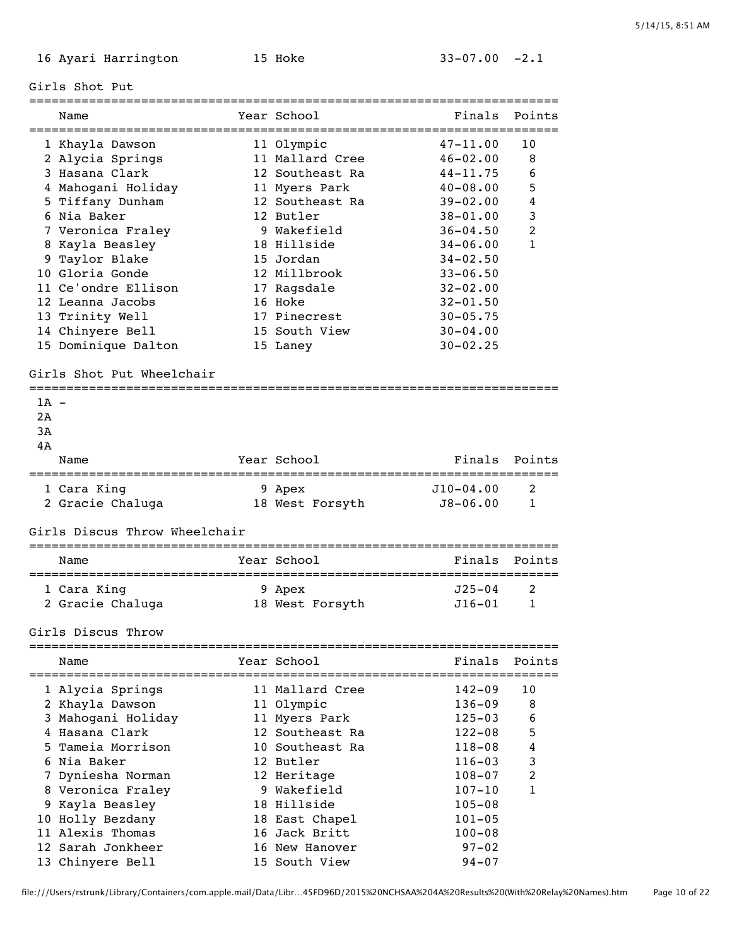Girls Shot Put

|        | Name                          | Year School     | Finals       | Points       |
|--------|-------------------------------|-----------------|--------------|--------------|
|        | 1 Khayla Dawson               | 11 Olympic      | $47 - 11.00$ | 10           |
|        | 2 Alycia Springs              | 11 Mallard Cree | $46 - 02.00$ | 8            |
|        | 3 Hasana Clark                | 12 Southeast Ra | $44 - 11.75$ | 6            |
|        | 4 Mahogani Holiday            | 11 Myers Park   | $40 - 08.00$ | 5            |
|        | 5 Tiffany Dunham              | 12 Southeast Ra | $39 - 02.00$ | 4            |
|        | 6 Nia Baker                   | 12 Butler       | $38 - 01.00$ | 3            |
|        | 7 Veronica Fraley             | 9 Wakefield     | $36 - 04.50$ | 2            |
|        | 8 Kayla Beasley               | 18 Hillside     | $34 - 06.00$ | $\mathbf{1}$ |
|        | 9 Taylor Blake                | 15 Jordan       | $34 - 02.50$ |              |
|        | 10 Gloria Gonde               | 12 Millbrook    | $33 - 06.50$ |              |
|        | 11 Ce'ondre Ellison           | 17 Ragsdale     | $32 - 02.00$ |              |
|        | 12 Leanna Jacobs              | 16 Hoke         | $32 - 01.50$ |              |
|        | 13 Trinity Well               | 17 Pinecrest    | $30 - 05.75$ |              |
|        | 14 Chinyere Bell              | 15 South View   | $30 - 04.00$ |              |
|        | 15 Dominique Dalton           | 15 Laney        | $30 - 02.25$ |              |
|        |                               |                 |              |              |
|        | Girls Shot Put Wheelchair     |                 |              |              |
| $1A -$ |                               |                 |              |              |
| 2A     |                               |                 |              |              |
| 3A     |                               |                 |              |              |
| 4A     |                               |                 |              |              |
|        | Name                          | Year School     | Finals       | Points       |
|        | 1 Cara King                   | 9 Apex          | $J10-04.00$  | 2            |
|        | 2 Gracie Chaluga              | 18 West Forsyth | $J8 - 06.00$ | 1            |
|        | Girls Discus Throw Wheelchair |                 |              |              |
|        |                               |                 |              |              |
|        | Name                          | Year School     | Finals       | Points       |
|        |                               |                 | $J25 - 04$   |              |
|        | 1 Cara King                   | 9 Apex          |              | 2            |
|        | 2 Gracie Chaluga              | 18 West Forsyth | J16-01       | 1            |
|        | Girls Discus Throw            |                 |              |              |
|        | ========================      |                 |              |              |
|        | Name                          | Year School     | Finals       | Points       |
|        | 1 Alycia Springs              | 11 Mallard Cree | $142 - 09$   | 10           |
|        | 2 Khayla Dawson               | 11 Olympic      | $136 - 09$   | 8            |
|        | 3 Mahogani Holiday            | 11 Myers Park   | $125 - 03$   | 6            |
|        | 4 Hasana Clark                | 12 Southeast Ra | $122 - 08$   | 5            |
|        | 5 Tameia Morrison             | 10 Southeast Ra | $118 - 08$   | 4            |
|        | 6 Nia Baker                   | 12 Butler       | $116 - 03$   | 3            |
|        | 7 Dyniesha Norman             | 12 Heritage     | $108 - 07$   | 2            |
|        | 8 Veronica Fraley             | 9 Wakefield     | $107 - 10$   | 1            |
|        | 9 Kayla Beasley               | 18 Hillside     | $105 - 08$   |              |
|        | 10 Holly Bezdany              | 18 East Chapel  | $101 - 05$   |              |
|        | 11 Alexis Thomas              | 16 Jack Britt   | $100 - 08$   |              |
|        | 12 Sarah Jonkheer             | 16 New Hanover  | $97 - 02$    |              |
|        | 13 Chinyere Bell              | 15 South View   | $94 - 07$    |              |
|        |                               |                 |              |              |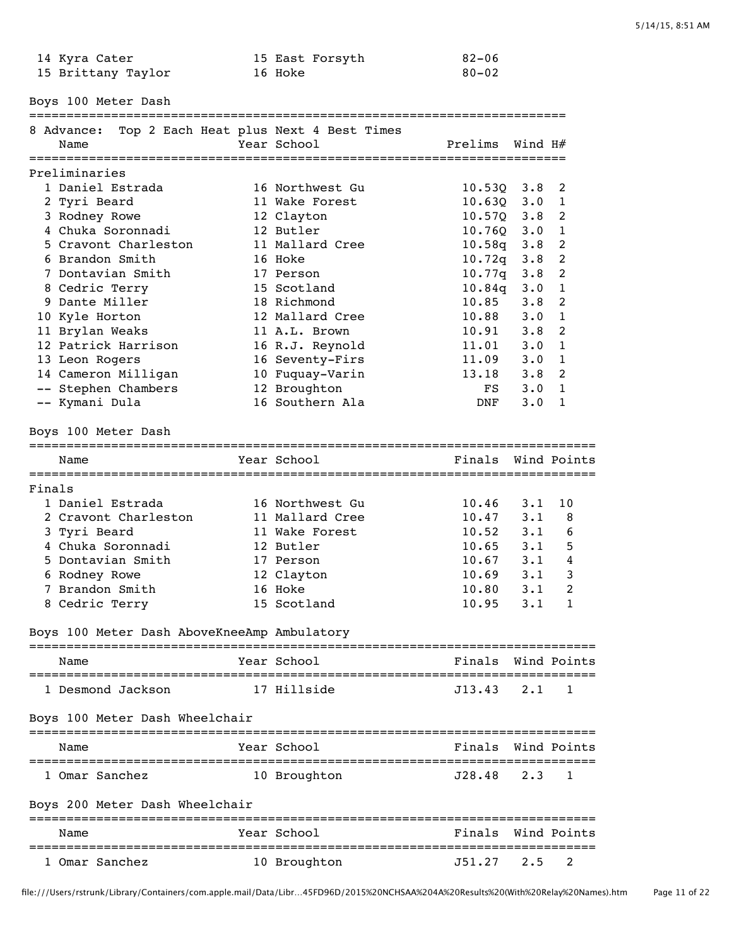| 14 Kyra Cater      | 15 East Forsyth | 82-06 |
|--------------------|-----------------|-------|
| 15 Brittany Taylor | 16 Hoke         | 80-02 |

Boys 100 Meter Dash

|        | 8 Advance:                                  | Top 2 Each Heat plus Next 4 Best Times |                    |                    |                |
|--------|---------------------------------------------|----------------------------------------|--------------------|--------------------|----------------|
|        | Name                                        | Year School                            | Prelims            | Wind $H#$          |                |
|        | Preliminaries                               |                                        |                    |                    |                |
|        | 1 Daniel Estrada                            | 16 Northwest Gu                        | $10.53Q$ 3.8       |                    | 2              |
|        | 2 Tyri Beard                                | 11 Wake Forest                         | $10.63Q$ $3.0$     |                    | 1              |
|        | 3 Rodney Rowe                               |                                        | $10.57Q$ 3.8       |                    | 2              |
|        | 4 Chuka Soronnadi                           | 12 Clayton<br>12 Butler                | $10.76Q$ 3.0       |                    | $\mathbf{1}$   |
|        | 5 Cravont Charleston                        | 11 Mallard Cree                        | $10.58q$ 3.8       |                    | $\overline{2}$ |
|        | 6 Brandon Smith                             | 16 Hoke                                | $10.72q$ 3.8       |                    | $\overline{2}$ |
|        | 7 Dontavian Smith                           | 17 Person                              | $10.77q$ 3.8       |                    | $\overline{c}$ |
|        | 8 Cedric Terry                              | 15 Scotland                            | $10.84q$ 3.0       |                    | $\mathbf{1}$   |
|        | 9 Dante Miller                              | 18 Richmond                            | 10.85              | 3.8                | $\overline{2}$ |
|        | 10 Kyle Horton                              | 12 Mallard Cree                        | 10.88              | $3 \cdot 0$        | $\mathbf{1}$   |
|        | 11 Brylan Weaks                             | 11 A.L. Brown                          | 10.91              | 3.8                | $\overline{2}$ |
|        | 12 Patrick Harrison                         |                                        | 11.01              | $3 \cdot 0$        | $\mathbf{1}$   |
|        |                                             | 16 R.J. Reynold<br>16 Seventy-Firs     | 11.09              | $3 \cdot 0$        | $\mathbf{1}$   |
|        | 13 Leon Rogers                              |                                        | 13.18              |                    | 2              |
|        | 14 Cameron Milligan                         | 10 Fuquay-Varin<br>12 Broughton        | FS                 | 3.8<br>$3 \cdot 0$ |                |
|        | -- Stephen Chambers                         | 16 Southern Ala                        | DNF                | $3 \cdot 0$        | 1              |
|        | -- Kymani Dula                              |                                        |                    |                    | 1              |
|        | Boys 100 Meter Dash                         |                                        |                    |                    |                |
|        |                                             |                                        |                    |                    |                |
|        | Name                                        | Year School                            | Finals             |                    | Wind Points    |
| Finals |                                             |                                        |                    |                    |                |
|        | 1 Daniel Estrada                            | 16 Northwest Gu                        | 10.46              | $3 \cdot 1$        | 10             |
|        | 2 Cravont Charleston                        | 11 Mallard Cree                        | 10.47              | $3 \cdot 1$        | 8              |
|        | 3 Tyri Beard                                | 11 Wake Forest                         | 10.52              | $3 \cdot 1$        | 6              |
|        | 4 Chuka Soronnadi                           | 12 Butler                              | 10.65              | 3.1                | 5              |
|        | 5 Dontavian Smith                           | 17 Person                              | 10.67              | $3 \cdot 1$        | 4              |
|        | 6 Rodney Rowe                               | 12 Clayton                             | 10.69              | 3.1                | 3              |
|        | 7 Brandon Smith                             | 16 Hoke                                | 10.80              | $3 \cdot 1$        | 2              |
|        | 8 Cedric Terry                              | 15 Scotland                            | 10.95              | 3.1                | 1              |
|        |                                             |                                        |                    |                    |                |
|        | Boys 100 Meter Dash AboveKneeAmp Ambulatory |                                        |                    |                    |                |
|        | Name                                        | Year School                            | Finals Wind Points |                    |                |
|        | 1 Desmond Jackson                           | 17 Hillside                            | J13.43             | $2 \cdot 1$        | 1              |
|        | Boys 100 Meter Dash Wheelchair              |                                        |                    |                    |                |
|        |                                             |                                        |                    |                    |                |
|        | Name                                        | Year School                            | Finals             | Wind Points        |                |
|        | 1 Omar Sanchez                              | 10 Broughton                           | J28.48             | $2 \cdot 3$        | 1              |
|        | Boys 200 Meter Dash Wheelchair              |                                        |                    |                    |                |
|        | Name                                        | Year School                            | Finals             |                    | Wind Points    |
|        | 1 Omar Sanchez                              | 10 Broughton                           | J51.27             | $2 \cdot 5$        | 2              |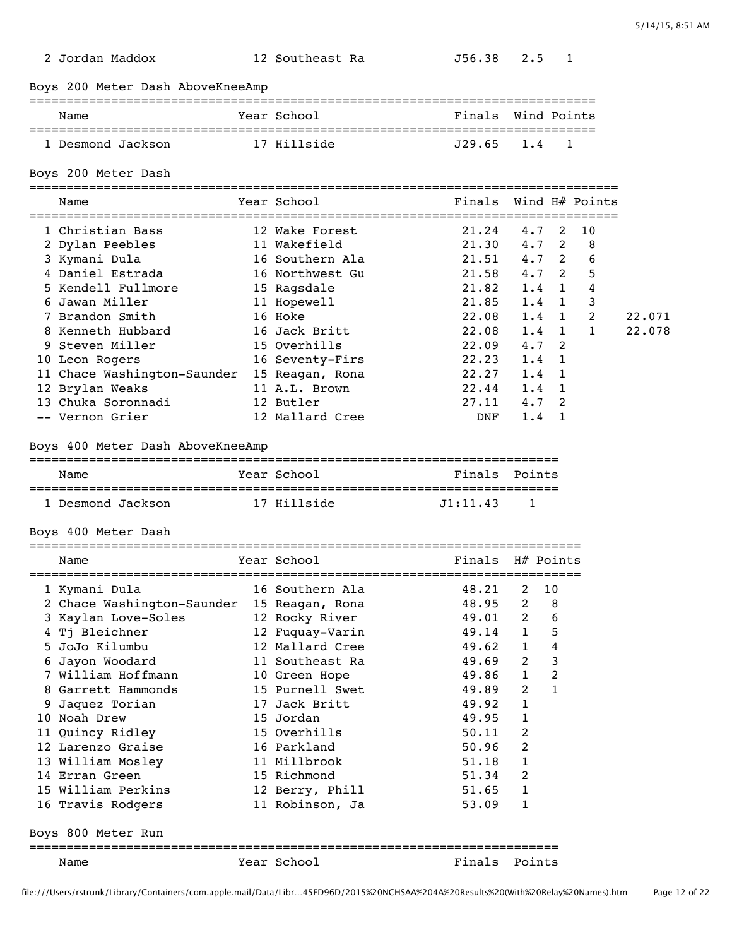| 2 Jordan Maddox |  |
|-----------------|--|
|-----------------|--|

#### 2 Jordan Maddox 12 Southeast Ra J56.38 2.5 1

Boys 200 Meter Dash AboveKneeAmp

### ============================================================================ Name  $Year School$  Finals Wind Points ============================================================================ 1 Desmond Jackson 17 Hillside

Boys 200 Meter Dash

=============================================================================== Name Year School Finals Wind H# Points

| Name                        | Year School     | Finals |               |   | Wind H# Points |        |
|-----------------------------|-----------------|--------|---------------|---|----------------|--------|
| 1 Christian Bass            | 12 Wake Forest  | 21.24  | 4.7           | 2 | 10             |        |
| 2 Dylan Peebles             | 11 Wakefield    | 21.30  | $4.7-2$       |   | 8              |        |
| 3 Kymani Dula               | 16 Southern Ala | 21.51  | $4.7 \, 2$    |   | 6              |        |
| 4 Daniel Estrada            | 16 Northwest Gu | 21.58  | $4.7 \, 2$    |   | 5              |        |
| 5 Kendell Fullmore          | 15 Raqsdale     | 21.82  | $1.4 \quad 1$ |   | 4              |        |
| 6 Jawan Miller              | 11 Hopewell     | 21.85  | $1.4$ 1       |   | 3              |        |
| 7 Brandon Smith             | 16 Hoke         | 22.08  | $1.4 \quad 1$ |   | 2              | 22.071 |
| 8 Kenneth Hubbard           | 16 Jack Britt   | 22.08  | $1.4$ 1       |   | $\mathbf{1}$   | 22.078 |
| 9 Steven Miller             | 15 Overhills    | 22.09  | $4.7 \quad 2$ |   |                |        |
| 10 Leon Rogers              | 16 Seventy-Firs | 22.23  | $1.4 \quad 1$ |   |                |        |
| 11 Chace Washington-Saunder | 15 Reagan, Rona | 22.27  | $1.4 \quad 1$ |   |                |        |
| 12 Brylan Weaks             | 11 A.L. Brown   | 22.44  | $1.4 \quad 1$ |   |                |        |
| 13 Chuka Soronnadi          | 12 Butler       | 27.11  | $4.7 \quad 2$ |   |                |        |
| -- Vernon Grier             | 12 Mallard Cree | DNF    | 1.4           |   |                |        |

#### Boys 400 Meter Dash AboveKneeAmp

| Name              | Year School | Finals Points                   |  |  |  |  |  |  |
|-------------------|-------------|---------------------------------|--|--|--|--|--|--|
|                   |             |                                 |  |  |  |  |  |  |
| 1 Desmond Jackson | Abialiai T1 | $.71 \cdot 11$ . 43<br>$\sim$ 1 |  |  |  |  |  |  |

Boys 400 Meter Dash

|    | Name                       | Year School     | Finals |                | H# Points      |
|----|----------------------------|-----------------|--------|----------------|----------------|
|    | 1 Kymani Dula              | 16 Southern Ala | 48.21  | $\mathcal{L}$  | 10             |
|    | 2 Chace Washington-Saunder | 15 Reagan, Rona | 48.95  | $\overline{2}$ | 8              |
|    | 3 Kaylan Love-Soles        | 12 Rocky River  | 49.01  | $2^{\circ}$    | 6              |
|    | 4 Tj Bleichner             | 12 Fuquay-Varin | 49.14  | $\mathbf{1}$   | 5              |
|    | 5 JoJo Kilumbu             | 12 Mallard Cree | 49.62  | $\mathbf{1}$   | 4              |
|    | Jayon Woodard              | 11 Southeast Ra | 49.69  | $2^{\circ}$    | 3              |
|    | William Hoffmann           | 10 Green Hope   | 49.86  | $\mathbf{1}$   | $\overline{c}$ |
| 8  | Garrett Hammonds           | 15 Purnell Swet | 49.89  | 2              | $\mathbf{1}$   |
| 9  | Jaquez Torian              | 17 Jack Britt   | 49.92  | $\mathbf{1}$   |                |
| 10 | Noah Drew                  | 15 Jordan       | 49.95  | 1              |                |
|    | 11 Quincy Ridley           | 15 Overhills    | 50.11  | 2              |                |
|    | 12 Larenzo Graise          | 16 Parkland     | 50.96  | 2              |                |
|    | 13 William Mosley          | 11 Millbrook    | 51.18  | 1              |                |
|    | 14 Erran Green             | 15 Richmond     | 51.34  | 2              |                |
|    | 15 William Perkins         | 12 Berry, Phill | 51.65  | 1              |                |
|    | 16 Travis Rodgers          | 11 Robinson, Ja | 53.09  | 1              |                |
|    | Boys 800 Meter Run         |                 |        |                |                |
|    | Name                       | Year School     | Finals |                | Points         |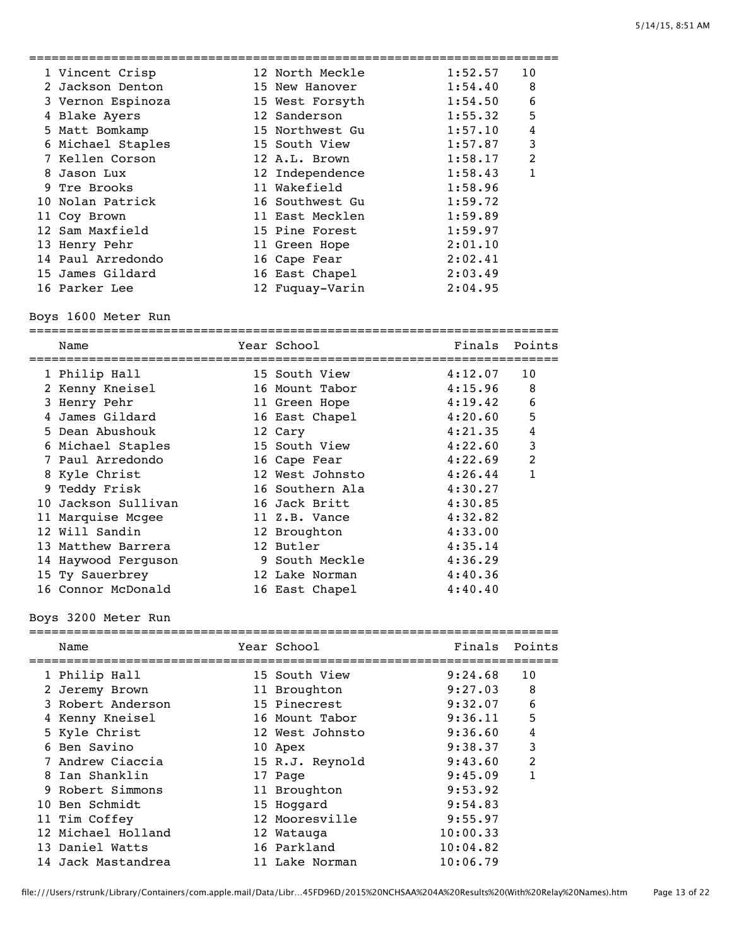| 1 Vincent Crisp   | 12 North Meckle | 1:52.57 | 10             |
|-------------------|-----------------|---------|----------------|
| 2 Jackson Denton  | 15 New Hanover  | 1:54.40 | 8              |
| 3 Vernon Espinoza | 15 West Forsyth | 1:54.50 | 6              |
| 4 Blake Ayers     | 12 Sanderson    | 1:55.32 | 5              |
| 5 Matt Bomkamp    | 15 Northwest Gu | 1:57.10 | 4              |
| 6 Michael Staples | 15 South View   | 1:57.87 | 3              |
| 7 Kellen Corson   | 12 A.L. Brown   | 1:58.17 | $\mathfrak{D}$ |
| 8 Jason Lux       | 12 Independence | 1:58.43 | 1              |
| 9 Tre Brooks      | 11 Wakefield    | 1:58.96 |                |
| 10 Nolan Patrick  | 16 Southwest Gu | 1:59.72 |                |
| 11 Coy Brown      | 11 East Mecklen | 1:59.89 |                |
| 12 Sam Maxfield   | 15 Pine Forest  | 1:59.97 |                |
| 13 Henry Pehr     | 11 Green Hope   | 2:01.10 |                |
| 14 Paul Arredondo | 16 Cape Fear    | 2:02.41 |                |
| 15 James Gildard  | 16 East Chapel  | 2:03.49 |                |
| 16 Parker Lee     | 12 Fuquay-Varin | 2:04.95 |                |
|                   |                 |         |                |

Boys 1600 Meter Run

| Name                | Year School     | Finals  | Points |
|---------------------|-----------------|---------|--------|
| 1 Philip Hall       | 15 South View   | 4:12.07 | 10     |
| 2 Kenny Kneisel     | 16 Mount Tabor  | 4:15.96 | 8      |
| 3 Henry Pehr        | 11 Green Hope   | 4:19.42 | 6      |
| James Gildard       | 16 East Chapel  | 4:20.60 | 5      |
| 5 Dean Abushouk     | 12 Cary         | 4:21.35 | 4      |
| 6 Michael Staples   | 15 South View   | 4:22.60 | 3      |
| 7 Paul Arredondo    | 16 Cape Fear    | 4:22.69 | 2      |
| 8 Kyle Christ       | 12 West Johnsto | 4:26.44 |        |
| 9 Teddy Frisk       | 16 Southern Ala | 4:30.27 |        |
| 10 Jackson Sullivan | 16 Jack Britt   | 4:30.85 |        |
| 11 Marquise Mcgee   | 11 Z.B. Vance   | 4:32.82 |        |
| 12 Will Sandin      | 12 Broughton    | 4:33.00 |        |
| 13 Matthew Barrera  | 12 Butler       | 4:35.14 |        |
| 14 Haywood Ferquson | 9 South Meckle  | 4:36.29 |        |
| 15 Ty Sauerbrey     | 12 Lake Norman  | 4:40.36 |        |
| 16 Connor McDonald  | 16 East Chapel  | 4:40.40 |        |

# Boys 3200 Meter Run

| Name               | Year School     | Finals   | Points |
|--------------------|-----------------|----------|--------|
| 1 Philip Hall      | 15 South View   | 9:24.68  | 10     |
| 2 Jeremy Brown     | 11 Broughton    | 9:27.03  | 8      |
| 3 Robert Anderson  | 15 Pinecrest    | 9:32.07  | 6      |
| 4 Kenny Kneisel    | 16 Mount Tabor  | 9:36.11  | 5      |
| 5 Kyle Christ      | 12 West Johnsto | 9:36.60  | 4      |
| 6 Ben Savino       | 10 Apex         | 9:38.37  | 3      |
| 7 Andrew Ciaccia   | 15 R.J. Reynold | 9:43.60  | 2      |
| 8 Ian Shanklin     | 17 Page         | 9:45.09  | 1      |
| 9 Robert Simmons   | 11 Broughton    | 9:53.92  |        |
| 10 Ben Schmidt     | 15 Hoggard      | 9:54.83  |        |
| 11 Tim Coffey      | 12 Mooresville  | 9:55.97  |        |
| 12 Michael Holland | 12 Watauga      | 10:00.33 |        |
| 13 Daniel Watts    | 16 Parkland     | 10:04.82 |        |
| 14 Jack Mastandrea | 11 Lake Norman  | 10:06.79 |        |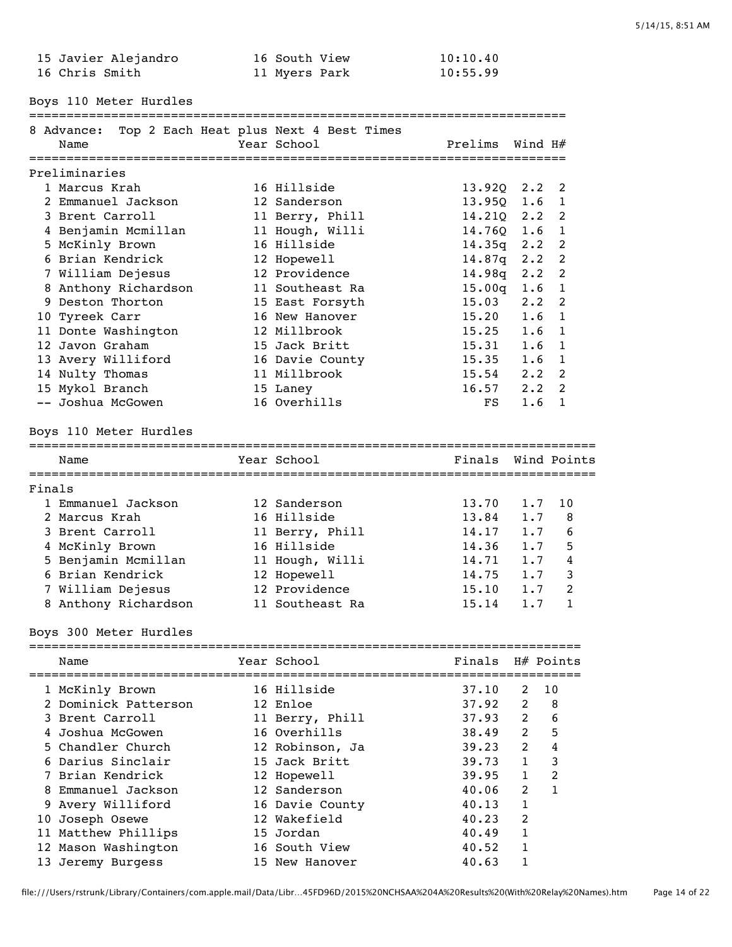| 15 Javier Alejandro | 16 South View | 10:10.40 |
|---------------------|---------------|----------|
| 16 Chris Smith      | 11 Myers Park | 10:55.99 |

========================================================================

Boys 110 Meter Hurdles

|        | 8 Advance:                               | Top 2 Each Heat plus Next 4 Best Times |                       |                    |                                |
|--------|------------------------------------------|----------------------------------------|-----------------------|--------------------|--------------------------------|
|        | Name                                     | Year School                            | Prelims               | Wind H#            |                                |
|        |                                          |                                        |                       |                    |                                |
|        | Preliminaries<br>1 Marcus Krah           |                                        |                       |                    |                                |
|        |                                          | 16 Hillside                            | $13.92Q$ 2.2          |                    | 2                              |
|        | 2 Emmanuel Jackson<br>3 Brent Carroll    | 12 Sanderson                           | $13.95Q$ 1.6          |                    | $\mathbf{1}$                   |
|        |                                          | 11 Berry, Phill                        | $14.210$ 2.2          |                    | 2                              |
|        | 4 Benjamin Mcmillan                      | 11 Hough, Willi<br>16 Hillside         | $14.76Q$ 1.6          |                    | $\mathbf{1}$<br>$\overline{2}$ |
|        | 5 McKinly Brown<br>6 Brian Kendrick      |                                        | $14.35q$ 2.2          |                    | $\overline{2}$                 |
|        |                                          | 12 Hopewell<br>12 Providence           | 14.87q 2.2            |                    | $\overline{c}$                 |
|        | 7 William Dejesus                        |                                        | 14.98q 2.2            |                    | $\mathbf 1$                    |
|        | 8 Anthony Richardson<br>9 Deston Thorton | 11 Southeast Ra                        | $15.00q$ 1.6<br>15.03 |                    |                                |
|        |                                          | 15 East Forsyth<br>16 New Hanover      | 15.20                 | $2 \cdot 2$<br>1.6 | $\overline{c}$<br>$\mathbf 1$  |
|        | 10 Tyreek Carr                           |                                        |                       |                    |                                |
|        | 11 Donte Washington                      | 12 Millbrook                           | 15.25                 | 1.6                | $\mathbf{1}$                   |
|        | 12 Javon Graham                          | 15 Jack Britt                          | 15.31                 | 1.6                | $\mathbf{1}$                   |
|        | 13 Avery Williford                       | 16 Davie County                        | 15.35                 | 1.6                | $\mathbf{1}$                   |
|        | 14 Nulty Thomas                          | 11 Millbrook                           | 15.54                 | $2 \cdot 2$        | $\overline{c}$                 |
|        | 15 Mykol Branch                          | 15 Laney<br>16 Overhills               | 16.57                 | $2 \cdot 2$        | 2                              |
|        | -- Joshua McGowen                        |                                        | $_{\rm FS}$           | 1.6                | $\mathbf{1}$                   |
|        | Boys 110 Meter Hurdles                   |                                        |                       |                    |                                |
|        | Name                                     | Year School                            | Finals Wind Points    |                    |                                |
|        |                                          |                                        |                       |                    |                                |
| Finals |                                          |                                        |                       |                    |                                |
|        | 1 Emmanuel Jackson                       | 12 Sanderson                           | 13.70                 | 1.7                | 10                             |
|        | 2 Marcus Krah                            | 16 Hillside                            | 13.84                 | 1.7                | 8                              |
|        | 3 Brent Carroll                          | 11 Berry, Phill                        | 14.17                 | 1.7                | 6                              |
|        | 4 McKinly Brown                          | 16 Hillside                            | 14.36                 | 1.7                | 5                              |
|        | 5 Benjamin Mcmillan                      | 11 Hough, Willi                        | 14.71                 | 1.7                | $\overline{4}$                 |
|        | 6 Brian Kendrick                         | 12 Hopewell                            | 14.75                 | 1.7                | 3                              |
|        | 7 William Dejesus                        | 12 Providence                          | 15.10                 | 1.7                | $\overline{c}$                 |
|        | 8 Anthony Richardson                     | 11 Southeast Ra                        | 15.14                 | 1.7                | $\mathbf{1}$                   |
|        | Boys 300 Meter Hurdles                   |                                        |                       |                    |                                |
|        | <b>Example 21 Year School</b><br>Name    | Finals H# Points                       |                       |                    |                                |
|        | 1 McKinly Brown                          | 16 Hillside                            | 37.10                 | 2                  | 10                             |
|        | 2 Dominick Patterson                     | 12 Enloe                               | 37.92                 | 2                  | 8                              |
|        | 3 Brent Carroll                          | 11 Berry, Phill                        | 37.93                 | $\overline{c}$     | 6                              |
|        | 4 Joshua McGowen                         | 16 Overhills                           | 38.49                 | $\overline{c}$     | 5                              |
|        | 5 Chandler Church                        | 12 Robinson, Ja                        | 39.23                 | 2                  | $\bf 4$                        |
|        | 6 Darius Sinclair                        | 15 Jack Britt                          | 39.73                 | $\mathbf{1}$       | 3                              |
|        | 7 Brian Kendrick                         |                                        |                       | $\mathbf{1}$       | $\overline{c}$                 |
|        | 8 Emmanuel Jackson                       | 12 Hopewell                            | 39.95                 |                    | $\mathbf{1}$                   |
|        |                                          | 12 Sanderson                           | 40.06<br>40.13        | 2                  |                                |
|        | 9 Avery Williford                        | 16 Davie County                        |                       | 1                  |                                |
|        | 10 Joseph Osewe                          | 12 Wakefield                           | 40.23                 | 2<br>$\mathbf{1}$  |                                |
|        | 11 Matthew Phillips                      | 15 Jordan                              | 40.49                 |                    |                                |
|        | 12 Mason Washington                      | 16 South View                          | 40.52                 | 1                  |                                |
|        | 13 Jeremy Burgess                        | 15 New Hanover                         | 40.63                 | $\mathbf{1}$       |                                |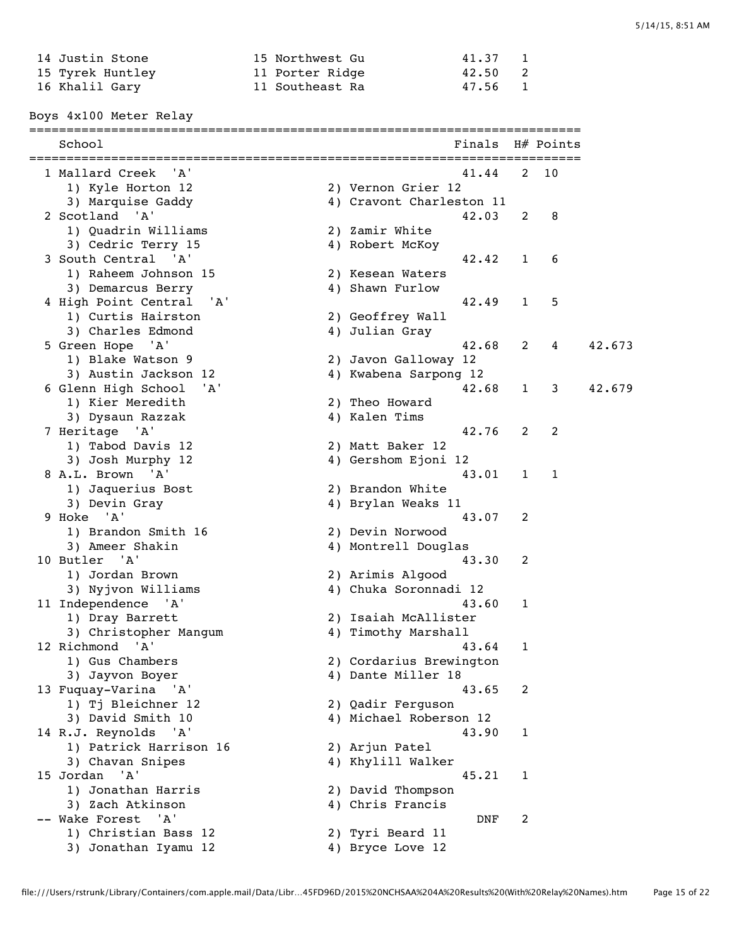| 14 Justin Stone  | 15 Northwest Gu | 41.37   |  |
|------------------|-----------------|---------|--|
| 15 Tyrek Huntley | 11 Porter Ridge | 42.50 2 |  |
| 16 Khalil Gary   | 11 Southeast Ra | 47.56 1 |  |

Boys 4x100 Meter Relay

==========================================================================

| School                                      | Finals                   |              | H# Points |        |
|---------------------------------------------|--------------------------|--------------|-----------|--------|
| 1 Mallard Creek<br>'' A '                   | 41.44                    | 2            | 10        |        |
| 1) Kyle Horton 12                           | 2) Vernon Grier 12       |              |           |        |
| 3) Marquise Gaddy                           | 4) Cravont Charleston 11 |              |           |        |
| 2 Scotland 'A'                              | 42.03                    | 2            | 8         |        |
| 1) Quadrin Williams                         | 2) Zamir White           |              |           |        |
| 3) Cedric Terry 15                          | 4) Robert McKoy          |              |           |        |
| 3 South Central 'A'                         | 42.42                    | 1            | 6         |        |
| 1) Raheem Johnson 15                        | 2) Kesean Waters         |              |           |        |
| 3) Demarcus Berry                           | 4) Shawn Furlow          |              |           |        |
| 4 High Point Central<br>'A'                 | 42.49                    | $\mathbf{1}$ | 5         |        |
| 1) Curtis Hairston                          | 2) Geoffrey Wall         |              |           |        |
| 3) Charles Edmond                           | 4) Julian Gray           |              |           |        |
| 5 Green Hope 'A'                            | 42.68                    | 2            | 4         | 42.673 |
| 1) Blake Watson 9                           | 2) Javon Galloway 12     |              |           |        |
| 3) Austin Jackson 12                        | 4) Kwabena Sarpong 12    |              |           |        |
| 6 Glenn High School<br>'A'                  | 42.68                    | $\mathbf{1}$ | 3         | 42.679 |
| 1) Kier Meredith                            | 2) Theo Howard           |              |           |        |
| 3) Dysaun Razzak                            | 4) Kalen Tims            |              |           |        |
| 7 Heritage 'A'                              | 42.76                    | 2            | 2         |        |
| 1) Tabod Davis 12                           | 2) Matt Baker 12         |              |           |        |
| 3) Josh Murphy 12                           | 4) Gershom Ejoni 12      |              |           |        |
| 8 A.L. Brown 'A'                            | 43.01                    | $\mathbf{1}$ | 1         |        |
| 1) Jaquerius Bost                           | 2) Brandon White         |              |           |        |
| 3) Devin Gray                               | 4) Brylan Weaks 11       |              |           |        |
| 9 Hoke 'A'                                  | 43.07                    | 2            |           |        |
| 1) Brandon Smith 16                         | 2) Devin Norwood         |              |           |        |
| 3) Ameer Shakin                             | 4) Montrell Douglas      |              |           |        |
| 10 Butler 'A'                               | 43.30                    | 2            |           |        |
| 1) Jordan Brown                             | 2) Arimis Algood         |              |           |        |
| 3) Nyjvon Williams                          | 4) Chuka Soronnadi 12    |              |           |        |
| 11 Independence 'A'                         | 43.60                    | 1            |           |        |
| 1) Dray Barrett                             | 2) Isaiah McAllister     |              |           |        |
| 3) Christopher Mangum                       | 4) Timothy Marshall      |              |           |        |
| 12 Richmond 'A'                             | 43.64                    | $\mathbf{1}$ |           |        |
| 1) Gus Chambers                             | 2) Cordarius Brewington  |              |           |        |
| 3) Jayvon Boyer                             | 4) Dante Miller 18       |              |           |        |
| 13 Fuquay-Varina 'A'                        | 43.65                    | 2            |           |        |
| 1) Tj Bleichner 12                          | 2) Qadir Ferguson        |              |           |        |
| 3) David Smith 10                           | 4) Michael Roberson 12   |              |           |        |
| 14 R.J. Reynolds<br>'A'                     | 43.90                    | 1            |           |        |
| 1) Patrick Harrison 16                      | 2) Arjun Patel           |              |           |        |
| 3) Chavan Snipes                            | 4) Khylill Walker        |              |           |        |
| 15 Jordan 'A'                               | 45.21                    | 1            |           |        |
| 1) Jonathan Harris                          | 2) David Thompson        |              |           |        |
| 3) Zach Atkinson                            | 4) Chris Francis         |              |           |        |
| -- Wake Forest<br>$^{\prime}$ A $^{\prime}$ | <b>DNF</b>               | 2            |           |        |
| 1) Christian Bass 12                        | 2) Tyri Beard 11         |              |           |        |
| 3) Jonathan Iyamu 12                        | 4) Bryce Love 12         |              |           |        |
|                                             |                          |              |           |        |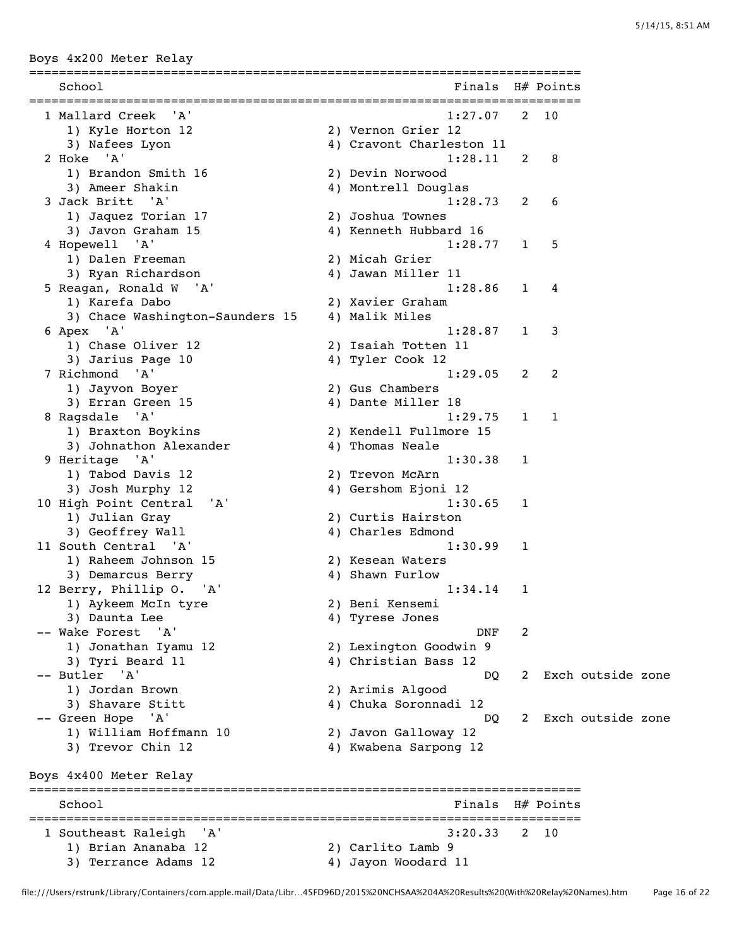Boys 4x200 Meter Relay

| School                          | Finals                   |                | H# Points    |                   |  |
|---------------------------------|--------------------------|----------------|--------------|-------------------|--|
| 1 Mallard Creek<br>'A'          | 1:27.07                  | $2^{\circ}$    | 10           |                   |  |
| 1) Kyle Horton 12               | 2) Vernon Grier 12       |                |              |                   |  |
| 3) Nafees Lyon                  | 4) Cravont Charleston 11 |                |              |                   |  |
| 2 Hoke 'A'                      | 1:28.11                  | 2              | 8            |                   |  |
| 1) Brandon Smith 16             | 2) Devin Norwood         |                |              |                   |  |
| 3) Ameer Shakin                 | 4) Montrell Douglas      |                |              |                   |  |
| 3 Jack Britt 'A'                | 1:28.73                  | $\overline{2}$ | 6            |                   |  |
| 1) Jaquez Torian 17             | 2) Joshua Townes         |                |              |                   |  |
| 3) Javon Graham 15              | 4) Kenneth Hubbard 16    |                |              |                   |  |
| 4 Hopewell 'A'                  | 1:28.77                  | $\mathbf{1}$   | 5            |                   |  |
| 1) Dalen Freeman                | 2) Micah Grier           |                |              |                   |  |
| 3) Ryan Richardson              | 4) Jawan Miller 11       |                |              |                   |  |
| 5 Reagan, Ronald W 'A'          | 1:28.86                  | $\mathbf{1}$   | 4            |                   |  |
| 1) Karefa Dabo                  | 2) Xavier Graham         |                |              |                   |  |
| 3) Chace Washington-Saunders 15 | 4) Malik Miles           |                |              |                   |  |
| 6 Apex 'A'                      | 1:28.87                  | $\mathbf{1}$   | 3            |                   |  |
| 1) Chase Oliver 12              | 2) Isaiah Totten 11      |                |              |                   |  |
| 3) Jarius Page 10               | 4) Tyler Cook 12         |                |              |                   |  |
| 7 Richmond 'A'                  | 1:29.05                  | $\overline{2}$ | 2            |                   |  |
| 1) Jayvon Boyer                 | 2) Gus Chambers          |                |              |                   |  |
| 3) Erran Green 15               | 4) Dante Miller 18       |                |              |                   |  |
| 8 Ragsdale 'A'                  | 1:29.75                  | $\mathbf{1}$   | $\mathbf{1}$ |                   |  |
| 1) Braxton Boykins              | 2) Kendell Fullmore 15   |                |              |                   |  |
| 3) Johnathon Alexander          | 4) Thomas Neale          |                |              |                   |  |
| 9 Heritage 'A'                  | 1:30.38                  | 1              |              |                   |  |
| 1) Tabod Davis 12               | 2) Trevon McArn          |                |              |                   |  |
| 3) Josh Murphy 12               | 4) Gershom Ejoni 12      |                |              |                   |  |
| 10 High Point Central<br>' A'   | 1:30.65                  | 1              |              |                   |  |
| 1) Julian Gray                  | 2) Curtis Hairston       |                |              |                   |  |
| 3) Geoffrey Wall                | 4) Charles Edmond        |                |              |                   |  |
| 11 South Central 'A'            | 1:30.99                  | 1              |              |                   |  |
| 1) Raheem Johnson 15            | 2) Kesean Waters         |                |              |                   |  |
| 3) Demarcus Berry               | 4) Shawn Furlow          |                |              |                   |  |
| 12 Berry, Phillip O. 'A'        | 1:34.14                  | 1              |              |                   |  |
| 1) Aykeem McIn tyre             | 2) Beni Kensemi          |                |              |                   |  |
| 3) Daunta Lee                   | 4) Tyrese Jones          |                |              |                   |  |
| -- Wake Forest<br>'A'           | DNF                      | 2              |              |                   |  |
| 1) Jonathan Iyamu 12            | 2) Lexington Goodwin 9   |                |              |                   |  |
| 3) Tyri Beard 11                | 4) Christian Bass 12     |                |              |                   |  |
| -- Butler 'A'                   | DO                       | 2              |              | Exch outside zone |  |
| 1) Jordan Brown                 | 2) Arimis Algood         |                |              |                   |  |
| 3) Shavare Stitt                | 4) Chuka Soronnadi 12    |                |              |                   |  |
| -- Green Hope<br>' A '          | DO.                      | 2              |              | Exch outside zone |  |
| 1) William Hoffmann 10          | 2) Javon Galloway 12     |                |              |                   |  |
| 3) Trevor Chin 12               | 4) Kwabena Sarpong 12    |                |              |                   |  |
| Boys 4x400 Meter Relay          |                          |                |              |                   |  |
| School                          | Finals                   |                | $H#$ Points  |                   |  |
| 1 Southeast Raleigh<br>'A'      | 3:20.33                  | 2              | 10           |                   |  |
| 1) Brian Ananaba 12             | 2) Carlito Lamb 9        |                |              |                   |  |
| 3) Terrance Adams 12            | 4) Jayon Woodard 11      |                |              |                   |  |
|                                 |                          |                |              |                   |  |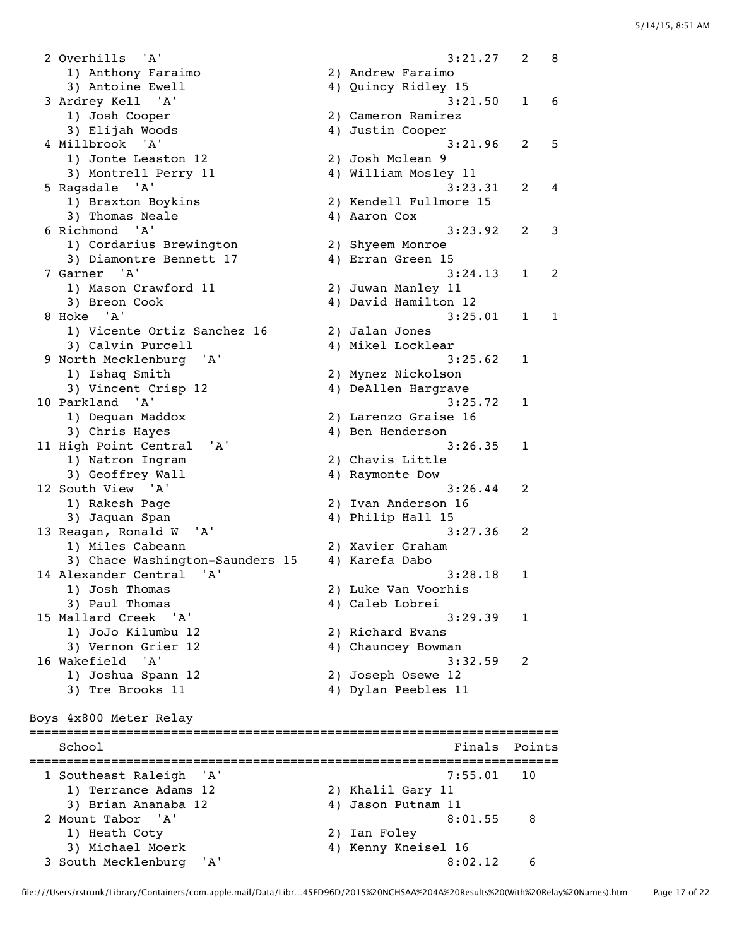2 Overhills 'A' 3:21.27 2 8 1) Anthony Faraimo 2) Andrew Faraimo 3) Antoine Ewell 4) Quincy Ridley 15 3 Ardrey Kell 'A' 3:21.50 1 6 1) Josh Cooper 2) Cameron Ramirez 3) Elijah Woods (4) Justin Cooper 4 Millbrook 'A' 3:21.96 2 5 1) Jonte Leaston 12 2) Josh Mclean 9 3) Montrell Perry 11 4) William Mosley 11 5 Ragsdale 'A' 3:23.31 2 4 1) Braxton Boykins 2) Kendell Fullmore 15 3) Thomas Neale 4) Aaron Cox 6 Richmond 'A' 3:23.92 2 3 1) Cordarius Brewington 2) Shyeem Monroe 3) Diamontre Bennett 17 (4) Erran Green 15 7 Garner 'A' 3:24.13 1 2 1) Mason Crawford 11 2) Juwan Manley 11 3) Breon Cook (4) David Hamilton 12 8 Hoke 'A' 3:25.01 1 1 1) Vicente Ortiz Sanchez 16 2) Jalan Jones 3) Calvin Purcell 4) Mikel Locklear 9 North Mecklenburg 'A' 3:25.62 1 1) Ishaq Smith 2) Mynez Nickolson 3) Vincent Crisp 12 4) DeAllen Hargrave 10 Parkland 'A' 3:25.72 1 1) Dequan Maddox 2) Larenzo Graise 16 3) Chris Hayes 4) Ben Henderson 11 High Point Central 'A' 3:26.35 1 1) Natron Ingram 2) Chavis Little 3) Geoffrey Wall 4) Raymonte Dow 12 South View 'A' 3:26.44 2 1) Rakesh Page 2) Ivan Anderson 16 3) Jaquan Span  $\begin{array}{ccc} 3 & 4 & 7 \end{array}$  Philip Hall 15 13 Reagan, Ronald W 'A' 3:27.36 2 1) Miles Cabeann 2) Xavier Graham 3) Chace Washington-Saunders 15 4) Karefa Dabo 14 Alexander Central 'A' 3:28.18 1 1) Josh Thomas 2) Luke Van Voorhis 3) Paul Thomas (4) Caleb Lobrei 15 Mallard Creek 'A' 3:29.39 1 1) JoJo Kilumbu 12 2) Richard Evans 3) Vernon Grier 12 4) Chauncey Bowman 16 Wakefield 'A' 3:32.59 2 1) Joshua Spann 12 2) Joseph Osewe 12 3) Tre Brooks 11 4) Dylan Peebles 11 Boys 4x800 Meter Relay ======================================================================= School **Finals Points** ======================================================================= 1 Southeast Raleigh 'A' 1) Terrance Adams 12 2) Khalil Gary 11 3) Brian Ananaba 12 4) Jason Putnam 11 2 Mount Tabor 'A' 8:01.55 8 1) Heath Coty 2) Ian Foley 3) Michael Moerk 4) Kenny Kneisel 16 3 South Mecklenburg 'A' 8:02.12 6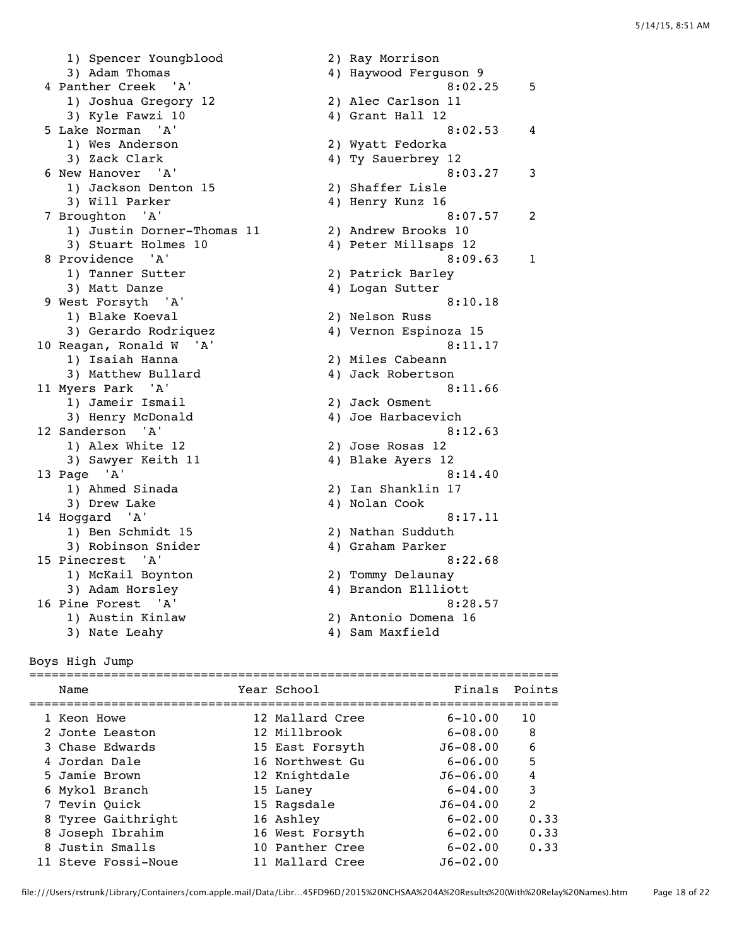1) Spencer Youngblood 2) Ray Morrison 3) Adam Thomas 4) Haywood Ferguson 9 4 Panther Creek 'A' 8:02.25 5<br>1) Joshua Gregory 12 2) Alec Carlson 11 1) Joshua Gregory 12 3) Kyle Fawzi 10 4) Grant Hall 12 5 Lake Norman 'A' 8:02.53 4 1) Wes Anderson 2) Wyatt Fedorka 3) Zack Clark (2008) 4) Ty Sauerbrey 12 6 New Hanover 'A' 3 1) Jackson Denton 15 2) Shaffer Lisle 3) Will Parker 4) Henry Kunz 16 7 Broughton 'A' 8:07.57 2 1) Justin Dorner-Thomas 11 2) Andrew Brooks 10 3) Stuart Holmes 10 4) Peter Millsaps 12 8 Providence 'A' 3 and 1 and 1 and 1 and 1 and 1 and 1 and 1 and 1 and 1 and 1 and 1 and 1 and 1 and 1 and 1 and 1 and 1 and 1 and 1 and 1 and 1 and 1 and 1 and 1 and 1 and 1 and 1 and 1 and 1 and 1 and 1 and 1 and 1 and 1 1) Tanner Sutter 2) Patrick Barley 3) Matt Danze (2008) 4) Logan Sutter 9 West Forsyth 'A' 8:10.18 1) Blake Koeval 2) Nelson Russ 3) Gerardo Rodriquez 4) Vernon Espinoza 15 10 Reagan, Ronald W 'A' 8:11.17 1) Isaiah Hanna 2) Miles Cabeann 3) Matthew Bullard 4) Jack Robertson 11 Myers Park 'A' 8:11.66 1) Jameir Ismail 2) Jack Osment 3) Henry McDonald 4) Joe Harbacevich 12 Sanderson 'A' 8:12.63 1) Alex White 12 2) Jose Rosas 12 3) Sawyer Keith 11 4) Blake Ayers 12 13 Page 'A' 8:14.40 1) Ahmed Sinada 2) Ian Shanklin 17 3) Drew Lake 4) Nolan Cook 14 Hoggard 'A' 8:17.11 1) Ben Schmidt 15 2) Nathan Sudduth 3) Robinson Snider 4) Graham Parker 15 Pinecrest 'A' 8:22.68 1) McKail Boynton 2) Tommy Delaunay 3) Adam Horsley 4) Brandon Ellliott 16 Pine Forest 'A' 8:28.57 1) Austin Kinlaw 2) Antonio Domena 16 3) Nate Leahy 19 am Maxfield

Boys High Jump

| Name                | Year School     | Finals Points |                |
|---------------------|-----------------|---------------|----------------|
| 1 Keon Howe         | 12 Mallard Cree | $6 - 10.00$   | 10             |
| 2 Jonte Leaston     | 12 Millbrook    | $6 - 08.00$   | 8              |
| 3 Chase Edwards     | 15 East Forsyth | $J6 - 08.00$  | 6              |
| 4 Jordan Dale       | 16 Northwest Gu | $6 - 06.00$   | .5             |
| 5 Jamie Brown       | 12 Knightdale   | $J6 - 06.00$  | 4              |
| 6 Mykol Branch      | 15 Laney        | $6 - 04.00$   | 3              |
| 7 Tevin Quick       | 15 Ragsdale     | $J6 - 04.00$  | $\mathfrak{D}$ |
| 8 Tyree Gaithright  | 16 Ashley       | $6 - 02.00$   | 0.33           |
| 8 Joseph Ibrahim    | 16 West Forsyth | $6 - 02.00$   | 0.33           |
| 8 Justin Smalls     | 10 Panther Cree | $6 - 02.00$   | 0.33           |
| 11 Steve Fossi-Noue | 11 Mallard Cree | $J6 - 02.00$  |                |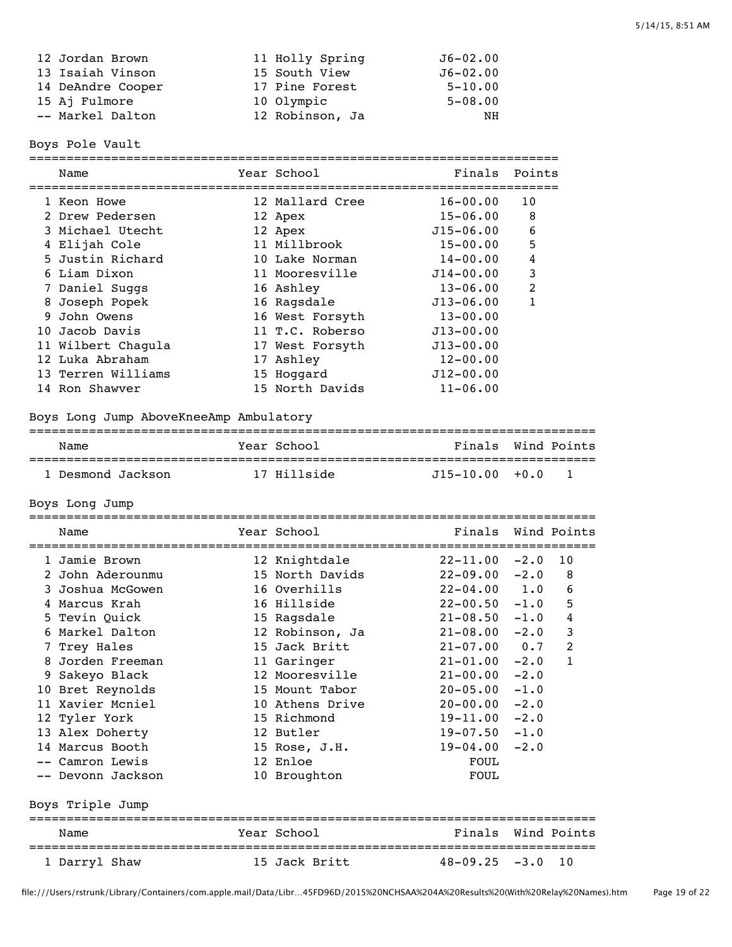| 12 Jordan Brown   | 11 Holly Spring | $J6 - 02.00$ |
|-------------------|-----------------|--------------|
| 13 Isaiah Vinson  | 15 South View   | $J6 - 02.00$ |
| 14 DeAndre Cooper | 17 Pine Forest  | $5 - 10.00$  |
| 15 Aj Fulmore     | 10 Olympic      | $5 - 08.00$  |
| -- Markel Dalton  | 12 Robinson, Ja | NH           |
|                   |                 |              |

Boys Pole Vault

| Name                                   | ======================<br>Year School | =============================<br>Finals | Points        |                |
|----------------------------------------|---------------------------------------|-----------------------------------------|---------------|----------------|
| 1 Keon Howe                            | 12 Mallard Cree                       | $16 - 00.00$                            | 10            |                |
| 2 Drew Pedersen                        | 12 Apex                               | $15 - 06.00$                            | 8             |                |
| 3 Michael Utecht                       | 12 Apex                               | $J15 - 06.00$                           | 6             |                |
| 4 Elijah Cole                          | 11 Millbrook                          | $15 - 00.00$                            | 5             |                |
| 5 Justin Richard                       | 10 Lake Norman                        | $14 - 00.00$                            | 4             |                |
| 6 Liam Dixon                           | 11 Mooresville                        | $J14 - 00.00$                           | 3             |                |
| 7 Daniel Suggs                         | 16 Ashley                             | $13 - 06.00$                            | 2             |                |
| 8 Joseph Popek                         | 16 Ragsdale                           | $J13 - 06.00$                           | $\mathbf{1}$  |                |
| 9 John Owens                           | 16 West Forsyth                       | $13 - 00.00$                            |               |                |
| 10 Jacob Davis                         | 11 T.C. Roberso                       | $J13 - 00.00$                           |               |                |
| 11 Wilbert Chagula                     | 17 West Forsyth                       | $J13 - 00.00$                           |               |                |
| 12 Luka Abraham                        | 17 Ashley                             | $12 - 00.00$                            |               |                |
| 13 Terren Williams                     | 15 Hoggard                            | $J12 - 00.00$                           |               |                |
| 14 Ron Shawver                         | 15 North Davids                       | $11 - 06.00$                            |               |                |
| Boys Long Jump AboveKneeAmp Ambulatory |                                       |                                         |               |                |
| Name                                   | Year School                           | Finals                                  |               | Wind Points    |
| 1 Desmond Jackson                      | 17 Hillside                           | $J15 - 10.00$                           | $+0.0$        | $\mathbf{1}$   |
| Boys Long Jump                         |                                       |                                         |               |                |
|                                        |                                       |                                         |               |                |
| Name                                   | Year School                           | Finals                                  |               | Wind Points    |
|                                        |                                       |                                         |               |                |
| 1 Jamie Brown                          | 12 Knightdale                         | $22 - 11.00$                            | $-2.0$        | 10             |
| 2 John Aderounmu<br>3 Joshua McGowen   | 15 North Davids<br>16 Overhills       | $22 - 09.00$                            | $-2.0$        | 8              |
| 4 Marcus Krah                          | 16 Hillside                           | $22 - 04.00$<br>$22 - 00.50$            | 1.0<br>$-1.0$ | 6<br>5         |
| 5 Tevin Ouick                          |                                       | $21 - 08.50$                            | $-1.0$        | $\overline{4}$ |
| 6 Markel Dalton                        | 15 Ragsdale<br>12 Robinson, Ja        | $21 - 08.00$                            |               | $\mathbf{3}$   |
| 7 Trey Hales                           | 15 Jack Britt                         | $21 - 07.00$                            | $-2.0$<br>0.7 | $\overline{2}$ |
| 8 Jorden Freeman                       | 11 Garinger                           | $21 - 01.00$                            | $-2.0$        | $\mathbf{1}$   |
| 9 Sakeyo Black                         | 12 Mooresville                        | $21 - 00.00$                            | $-2.0$        |                |
| 10 Bret Reynolds                       | 15 Mount Tabor                        | $20-05.00 -1.0$                         |               |                |
| 11 Xavier Mcniel                       | 10 Athens Drive                       | $20 - 00.00 - 2.0$                      |               |                |
| 12 Tyler York                          | 15 Richmond                           | $19 - 11.00 - 2.0$                      |               |                |
| 13 Alex Doherty                        | 12 Butler                             | $19-07.50 -1.0$                         |               |                |
| 14 Marcus Booth                        | 15 Rose, J.H.                         | $19 - 04.00 - 2.0$                      |               |                |
| -- Camron Lewis                        | 12 Enloe                              | FOUL                                    |               |                |
| -- Devonn Jackson                      | 10 Broughton                          | FOUL                                    |               |                |
| Boys Triple Jump                       |                                       |                                         |               |                |
| Name                                   | Year School                           | Finals Wind Points                      |               |                |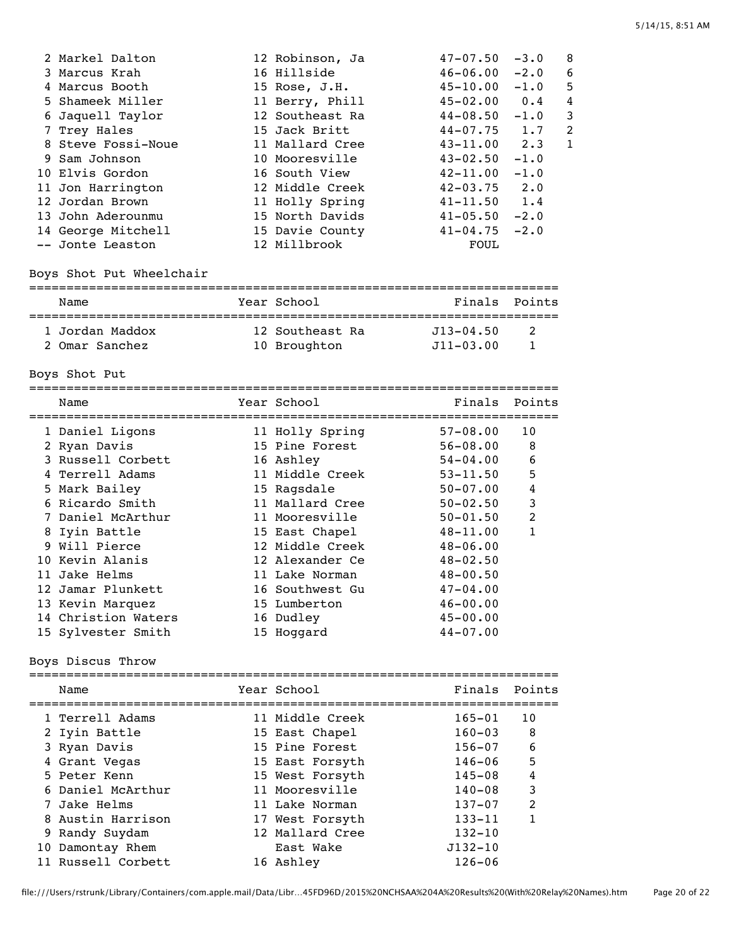| 2 Markel Dalton    | 12 Robinson, Ja | $47 - 07.50$     | $-3.0$ | 8              |
|--------------------|-----------------|------------------|--------|----------------|
| 3 Marcus Krah      | 16 Hillside     | $46 - 06.00$     | $-2.0$ | 6              |
| 4 Marcus Booth     | 15 Rose, J.H.   | $45 - 10.00$     | $-1.0$ | 5              |
| 5 Shameek Miller   | 11 Berry, Phill | $45 - 02.00$     | 0.4    | 4              |
| 6 Jaquell Taylor   | 12 Southeast Ra | 44-08.50         | $-1.0$ | 3              |
| 7 Trey Hales       | 15 Jack Britt   | $44 - 07.75$ 1.7 |        | $\mathfrak{D}$ |
| 8 Steve Fossi-Noue | 11 Mallard Cree | $43 - 11.00$ 2.3 |        | 1              |
| 9 Sam Johnson      | 10 Mooresville  | $43 - 02.50$     | $-1.0$ |                |
| 10 Elvis Gordon    | 16 South View   | $42 - 11.00$     | $-1.0$ |                |
| 11 Jon Harrington  | 12 Middle Creek | $42 - 03.75$     | 2.0    |                |
| 12 Jordan Brown    | 11 Holly Spring | $41 - 11.50$     | 1.4    |                |
| 13 John Aderounmu  | 15 North Davids | $41 - 05.50$     | $-2.0$ |                |
| 14 George Mitchell | 15 Davie County | $41 - 04.75$     | $-2.0$ |                |
| -- Jonte Leaston   | 12 Millbrook    | FOUL             |        |                |

Boys Shot Put Wheelchair

#### =======================================================================

| Name            | Year School     | Finals Points |                |
|-----------------|-----------------|---------------|----------------|
|                 |                 |               |                |
| 1 Jordan Maddox | 12 Southeast Ra | .713–04.50    | $\overline{2}$ |
| 2 Omar Sanchez  | 10 Broughton    | $J11 - 03.00$ |                |

Boys Shot Put

|  | Name                | Year School     | Finals       | Points |
|--|---------------------|-----------------|--------------|--------|
|  | 1 Daniel Ligons     | 11 Holly Spring | $57 - 08.00$ | 10     |
|  | 2 Ryan Davis        | 15 Pine Forest  | 56-08.00     | 8      |
|  | 3 Russell Corbett   | 16 Ashley       | $54 - 04.00$ | 6      |
|  | 4 Terrell Adams     | 11 Middle Creek | $53 - 11.50$ | 5      |
|  | 5 Mark Bailey       | 15 Ragsdale     | $50 - 07.00$ | 4      |
|  | 6 Ricardo Smith     | 11 Mallard Cree | $50 - 02.50$ | 3      |
|  | 7 Daniel McArthur   | 11 Mooresville  | $50 - 01.50$ | 2      |
|  | 8 Iyin Battle       | 15 East Chapel  | $48 - 11.00$ |        |
|  | 9 Will Pierce       | 12 Middle Creek | $48 - 06.00$ |        |
|  | 10 Kevin Alanis     | 12 Alexander Ce | $48 - 02.50$ |        |
|  | 11 Jake Helms       | 11 Lake Norman  | $48 - 00.50$ |        |
|  | 12 Jamar Plunkett   | 16 Southwest Gu | $47 - 04.00$ |        |
|  | 13 Kevin Marquez    | 15 Lumberton    | $46 - 00.00$ |        |
|  | 14 Christion Waters | 16 Dudley       | $45 - 00.00$ |        |
|  | 15 Sylvester Smith  | 15 Hoqqard      | $44 - 07.00$ |        |
|  |                     |                 |              |        |

Boys Discus Throw

| Name               | Year School     | Finals Points |                            |
|--------------------|-----------------|---------------|----------------------------|
| 1 Terrell Adams    | 11 Middle Creek | $165 - 01$    | 10                         |
| 2 Iyin Battle      | 15 East Chapel  | $160 - 03$    | $\overline{\phantom{1}}$ 8 |
| 3 Ryan Davis       | 15 Pine Forest  | $156 - 07$    | 6                          |
| 4 Grant Vegas      | 15 East Forsyth | $146 - 06$    | 5                          |
| 5 Peter Kenn       | 15 West Forsyth | $145 - 08$    | 4                          |
| 6 Daniel McArthur  | 11 Mooresville  | $140 - 08$    | 3                          |
| 7 Jake Helms       | 11 Lake Norman  | $137 - 07$    | $\mathcal{L}$              |
| 8 Austin Harrison  | 17 West Forsyth | $133 - 11$    | 1                          |
| 9 Randy Suydam     | 12 Mallard Cree | $132 - 10$    |                            |
| 10 Damontay Rhem   | East Wake       | $J132 - 10$   |                            |
| 11 Russell Corbett | 16 Ashley       | $126 - 06$    |                            |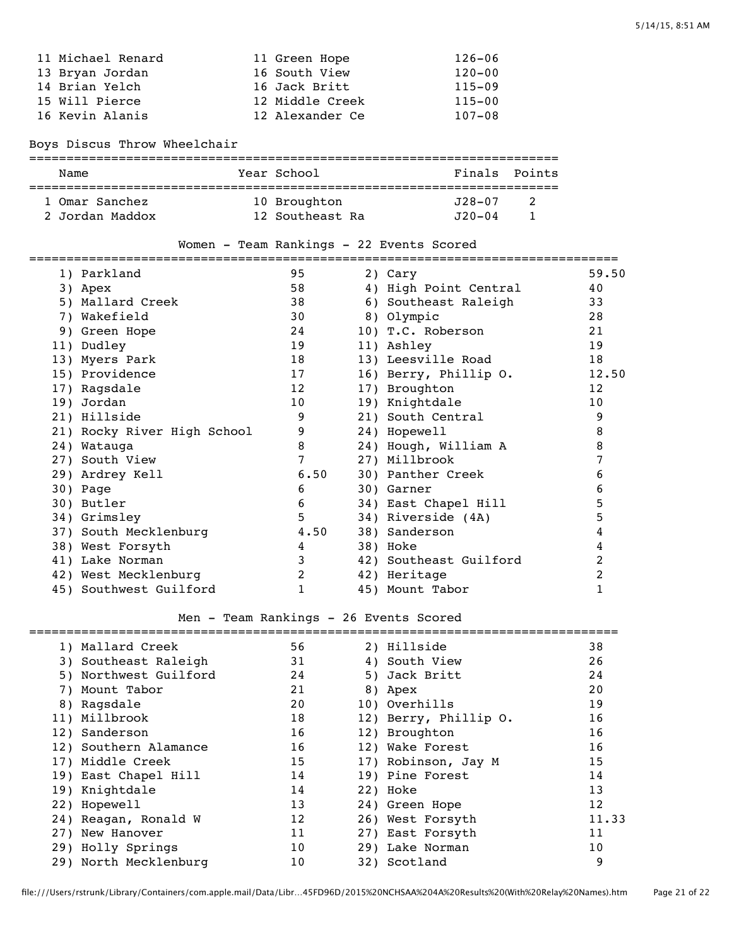| 11 Michael Renard | 11 Green Hope   | $126 - 06$ |
|-------------------|-----------------|------------|
| 13 Bryan Jordan   | 16 South View   | $120 - 00$ |
| 14 Brian Yelch    | 16 Jack Britt   | $115 - 09$ |
| 15 Will Pierce    | 12 Middle Creek | $115 - 00$ |
| 16 Kevin Alanis   | 12 Alexander Ce | $107 - 08$ |
|                   |                 |            |

Boys Discus Throw Wheelchair

| Name            |  | Year School     | Finals Points |     |  |  |  |  |
|-----------------|--|-----------------|---------------|-----|--|--|--|--|
| 1 Omar Sanchez  |  | 10 Broughton    | J28-07        | - 2 |  |  |  |  |
| 2 Jordan Maddox |  | 12 Southeast Ra | $J20 - 04$    |     |  |  |  |  |

|  |  |  |  | Women - Team Rankings - 22 Events Scored |  |  |  |  |
|--|--|--|--|------------------------------------------|--|--|--|--|
|--|--|--|--|------------------------------------------|--|--|--|--|

| 1) Parkland                 | 95   | 2) Cary                | 59.50 |
|-----------------------------|------|------------------------|-------|
| 3) Apex                     | 58   | 4) High Point Central  | 40    |
| 5) Mallard Creek            | 38   | 6) Southeast Raleigh   | 33    |
| 7) Wakefield                | 30   | 8) Olympic             | 28    |
| 9) Green Hope               | 24   | 10) T.C. Roberson      | 21    |
| 11) Dudley                  | 19   | 11) Ashley             | 19    |
| 13) Myers Park              | 18   | 13) Leesville Road     | 18    |
| 15) Providence              | 17   | 16) Berry, Phillip O.  | 12.50 |
| 17) Ragsdale                | 12   | 17) Broughton          | 12    |
| 19) Jordan                  | 10   | 19) Knightdale         | 10    |
| 21) Hillside                | 9    | 21) South Central      | 9     |
| 21) Rocky River High School | 9    | 24) Hopewell           | 8     |
| 24) Watauga                 | 8    | 24) Hough, William A   | 8     |
| 27) South View              | 7    | 27) Millbrook          |       |
| 29) Ardrey Kell             | 6.50 | 30) Panther Creek      | 6     |
| 30) Page                    | 6    | 30) Garner             | 6     |
| 30) Butler                  | 6    | 34) East Chapel Hill   | 5     |
| 34) Grimsley                | 5    | 34) Riverside (4A)     | 5     |
| 37) South Mecklenburg       | 4.50 | 38) Sanderson          | 4     |
| 38) West Forsyth            | 4    | 38) Hoke               | 4     |
| 41) Lake Norman             | 3    | 42) Southeast Guilford | 2     |
| 42) West Mecklenburg        | 2    | 42) Heritage           | 2     |
| 45) Southwest Guilford      | 1    | 45) Mount Tabor        | 1     |

# Men - Team Rankings - 26 Events Scored

| 1) Mallard Creek      | 56              | 2) Hillside           | 38              |
|-----------------------|-----------------|-----------------------|-----------------|
| 3) Southeast Raleigh  | 31              | 4) South View         | 26              |
| 5) Northwest Guilford | 24              | 5) Jack Britt         | 24              |
| 7) Mount Tabor        | 21              | 8) Apex               | 20              |
| 8) Ragsdale           | 20              | 10) Overhills         | 19              |
| 11) Millbrook         | 18              | 12) Berry, Phillip O. | 16              |
| 12) Sanderson         | 16              | 12) Broughton         | 16              |
| 12) Southern Alamance | 16              | 12) Wake Forest       | 16              |
| 17) Middle Creek      | 15              | 17) Robinson, Jay M   | 15              |
| 19) East Chapel Hill  | 14              | 19) Pine Forest       | 14              |
| 19) Knightdale        | 14              | 22) Hoke              | 13              |
| 22) Hopewell          | 13              | 24) Green Hope        | 12              |
| 24) Reagan, Ronald W  | 12              | 26) West Forsyth      | 11.33           |
| 27) New Hanover       | 11              | 27) East Forsyth      | 11              |
| 29) Holly Springs     | 10 <sup>°</sup> | 29) Lake Norman       | 10 <sup>°</sup> |
| 29) North Mecklenburg | 10              | 32) Scotland          | 9               |
|                       |                 |                       |                 |